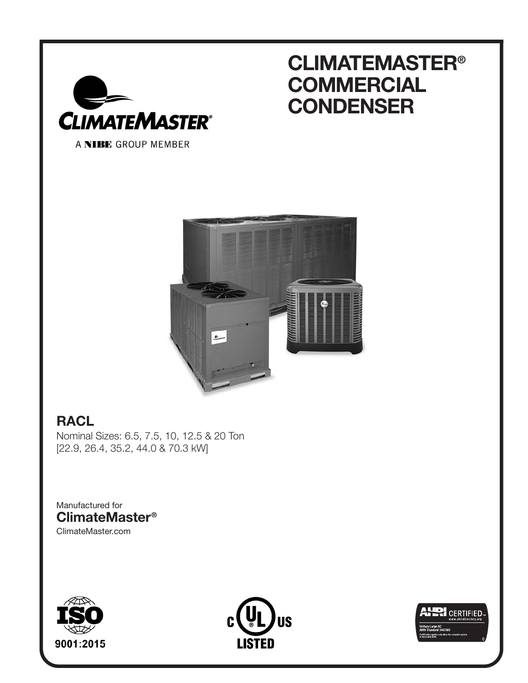

# **CLIMATEMASTER® COMMERCIAL CONDENSER**

A NIBE GROUP MEMBER



# **RACL**

Nominal Sizes: 6.5, 7.5, 10, 12.5 & 20 Ton [22.9, 26.4, 35.2, 44.0 & 70.3 kW]

Manufactured for **ClimateMaster®** ClimateMaster.com





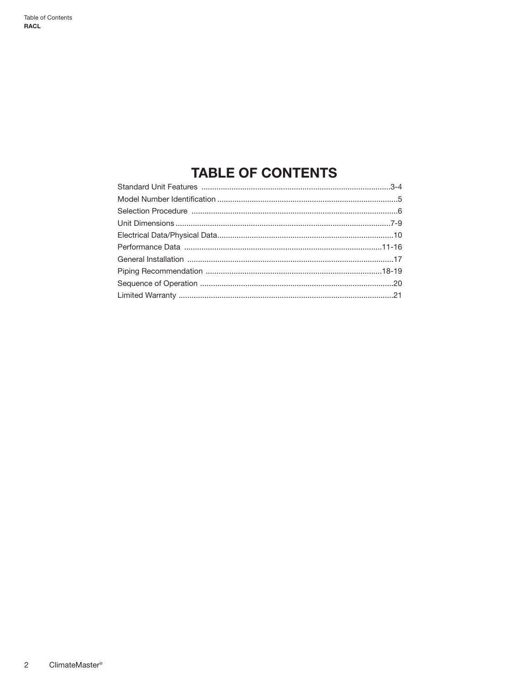# **TABLE OF CONTENTS**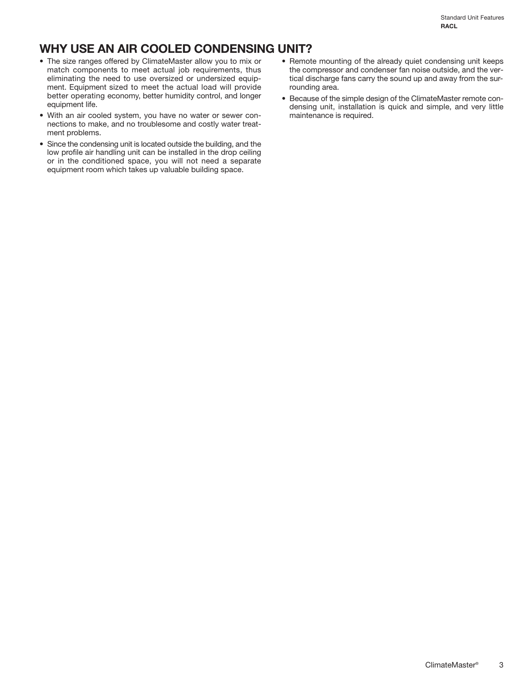# **WHY USE AN AIR COOLED CONDENSING UNIT?**

- The size ranges offered by ClimateMaster allow you to mix or match components to meet actual job requirements, thus eliminating the need to use oversized or undersized equipment. Equipment sized to meet the actual load will provide better operating economy, better humidity control, and longer equipment life.
- With an air cooled system, you have no water or sewer connections to make, and no troublesome and costly water treatment problems.
- Since the condensing unit is located outside the building, and the low profile air handling unit can be installed in the drop ceiling or in the conditioned space, you will not need a separate equipment room which takes up valuable building space.
- Remote mounting of the already quiet condensing unit keeps the compressor and condenser fan noise outside, and the vertical discharge fans carry the sound up and away from the surrounding area.
- Because of the simple design of the ClimateMaster remote condensing unit, installation is quick and simple, and very little maintenance is required.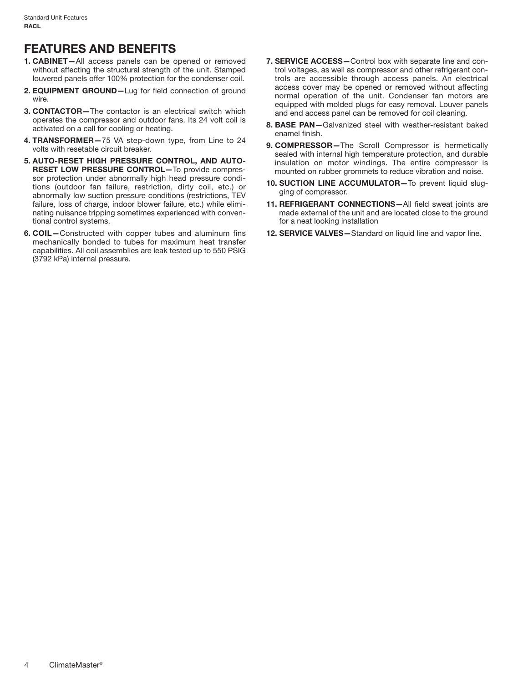## **FEATURES AND BENEFITS**

- **1. CABINET—**All access panels can be opened or removed without affecting the structural strength of the unit. Stamped louvered panels offer 100% protection for the condenser coil.
- **2. EQUIPMENT GROUND—**Lug for field connection of ground wire.
- **3. CONTACTOR—**The contactor is an electrical switch which operates the compressor and outdoor fans. Its 24 volt coil is activated on a call for cooling or heating.
- **4. TRANSFORMER—**75 VA step-down type, from Line to 24 volts with resetable circuit breaker.
- **5. AUTO-RESET HIGH PRESSURE CONTROL, AND AUTO-RESET LOW PRESSURE CONTROL—**To provide compressor protection under abnormally high head pressure conditions (outdoor fan failure, restriction, dirty coil, etc.) or abnormally low suction pressure conditions (restrictions, TEV failure, loss of charge, indoor blower failure, etc.) while eliminating nuisance tripping sometimes experienced with conventional control systems.
- **6. COIL—**Constructed with copper tubes and aluminum fins mechanically bonded to tubes for maximum heat transfer capabilities. All coil assemblies are leak tested up to 550 PSIG (3792 kPa) internal pressure.
- **7. SERVICE ACCESS—**Control box with separate line and control voltages, as well as compressor and other refrigerant controls are accessible through access panels. An electrical access cover may be opened or removed without affecting normal operation of the unit. Condenser fan motors are equipped with molded plugs for easy removal. Louver panels and end access panel can be removed for coil cleaning.
- **8. BASE PAN—**Galvanized steel with weather-resistant baked enamel finish.
- **9. COMPRESSOR—**The Scroll Compressor is hermetically sealed with internal high temperature protection, and durable insulation on motor windings. The entire compressor is mounted on rubber grommets to reduce vibration and noise.
- 10. SUCTION LINE ACCUMULATOR-To prevent liquid slugging of compressor.
- **11. REFRIGERANT CONNECTIONS—**All field sweat joints are made external of the unit and are located close to the ground for a neat looking installation
- **12. SERVICE VALVES—**Standard on liquid line and vapor line.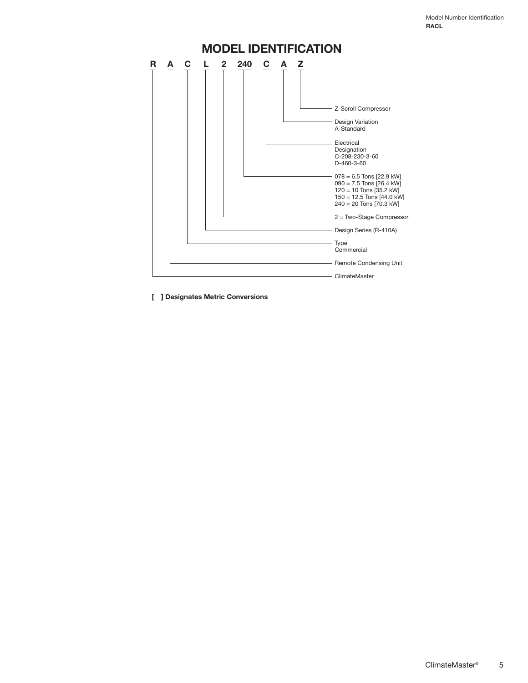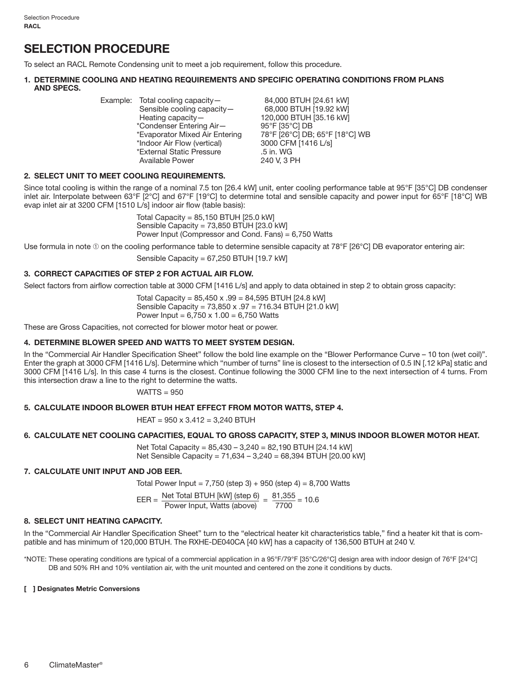# **SELECTION PROCEDURE**

To select an RACL Remote Condensing unit to meet a job requirement, follow this procedure.

#### **1. DETERMINE COOLING AND HEATING REQUIREMENTS AND SPECIFIC OPERATING CONDITIONS FROM PLANS AND SPECS.**

| *Condenser Entering Air-<br>95°F [35°C] DB<br>*Evaporator Mixed Air Entering<br>3000 CFM [1416 L/s]<br>*Indoor Air Flow (vertical)<br>*External Static Pressure<br>.5 in. WG<br>240 V, 3 PH<br>Available Power |  |  | Example: Total cooling capacity-<br>Sensible cooling capacity-<br>Heating capacity $-$ | 84,000 BTUH [24.61 kW]<br>68,000 BTUH [19.92 kW]<br>120,000 BTUH [35.16 kW]<br>78°F [26°C] DB; 65°F [18°C] WB |
|----------------------------------------------------------------------------------------------------------------------------------------------------------------------------------------------------------------|--|--|----------------------------------------------------------------------------------------|---------------------------------------------------------------------------------------------------------------|
|----------------------------------------------------------------------------------------------------------------------------------------------------------------------------------------------------------------|--|--|----------------------------------------------------------------------------------------|---------------------------------------------------------------------------------------------------------------|

#### **2. SELECT UNIT TO MEET COOLING REQUIREMENTS.**

Since total cooling is within the range of a nominal 7.5 ton [26.4 kW] unit, enter cooling performance table at 95°F [35°C] DB condenser inlet air. Interpolate between 63°F [2°C] and 67°F [19°C] to determine total and sensible capacity and power input for 65°F [18°C] WB evap inlet air at 3200 CFM [1510 L/s] indoor air flow (table basis):

> Total Capacity = 85,150 BTUH [25.0 kW] Sensible Capacity = 73,850 BTUH [23.0 kW] Power Input (Compressor and Cond. Fans) = 6,750 Watts

Use formula in note ① on the cooling performance table to determine sensible capacity at 78°F [26°C] DB evaporator entering air:

Sensible Capacity = 67,250 BTUH [19.7 kW]

#### **3. CORRECT CAPACITIES OF STEP 2 FOR ACTUAL AIR FLOW.**

Select factors from airflow correction table at 3000 CFM [1416 L/s] and apply to data obtained in step 2 to obtain gross capacity:

Total Capacity =  $85,450 \times .99 = 84,595$  BTUH [24.8 kW] Sensible Capacity = 73,850 x .97 = 716.34 BTUH [21.0 kW] Power Input =  $6,750 \times 1.00 = 6,750$  Watts

These are Gross Capacities, not corrected for blower motor heat or power.

#### **4. DETERMINE BLOWER SPEED AND WATTS TO MEET SYSTEM DESIGN.**

In the "Commercial Air Handler Specification Sheet" follow the bold line example on the "Blower Performance Curve – 10 ton (wet coil)". Enter the graph at 3000 CFM [1416 L/s]. Determine which "number of turns" line is closest to the intersection of 0.5 IN [.12 kPa] static and 3000 CFM [1416 L/s]. In this case 4 turns is the closest. Continue following the 3000 CFM line to the next intersection of 4 turns. From this intersection draw a line to the right to determine the watts.

 $WATTS = 950$ 

#### **5. CALCULATE INDOOR BLOWER BTUH HEAT EFFECT FROM MOTOR WATTS, STEP 4.**

 $HEAT = 950 \times 3.412 = 3,240$  BTUH

#### **6. CALCULATE NET COOLING CAPACITIES, EQUAL TO GROSS CAPACITY, STEP 3, MINUS INDOOR BLOWER MOTOR HEAT.**

 Net Total Capacity = 85,430 – 3,240 = 82,190 BTUH [24.14 kW] Net Sensible Capacity = 71,634 – 3,240 = 68,394 BTUH [20.00 kW]

#### **7. CALCULATE UNIT INPUT AND JOB EER.**

Total Power Input =  $7,750$  (step 3) + 950 (step 4) = 8,700 Watts

$$
T_{\text{ED}} = \text{Net Total BTUH [kW] (step 6)} = 81,355
$$

$$
EER = \frac{\text{Net Total BTUH [kW] (step 6)}}{\text{Power Input, Watts (above)}} = \frac{81,355}{7700} = 10.6
$$

#### **8. SELECT UNIT HEATING CAPACITY.**

In the "Commercial Air Handler Specification Sheet" turn to the "electrical heater kit characteristics table," find a heater kit that is compatible and has minimum of 120,000 BTUH. The RXHE-DE040CA [40 kW] has a capacity of 136,500 BTUH at 240 V.

\*NOTE: These operating conditions are typical of a commercial application in a 95°F/79°F [35°C/26°C] design area with indoor design of 76°F [24°C] DB and 50% RH and 10% ventilation air, with the unit mounted and centered on the zone it conditions by ducts.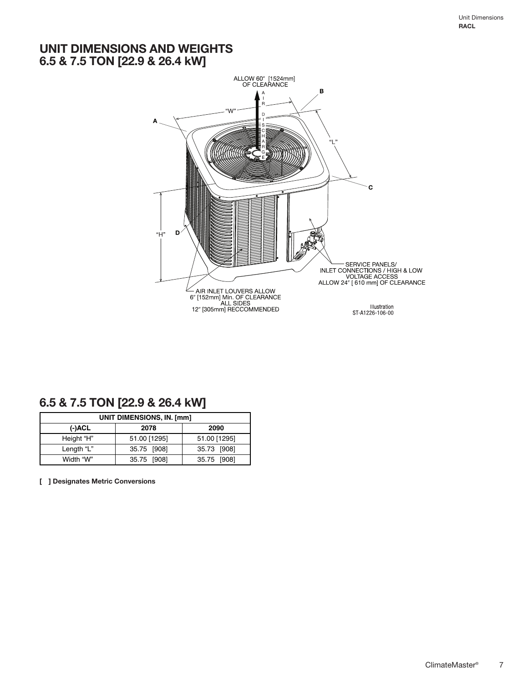### **UNIT DIMENSIONS AND WEIGHTS 6.5 & 7.5 TON [22.9 & 26.4 kW]**



### **6.5 & 7.5 TON [22.9 & 26.4 kW]**

|            | UNIT DIMENSIONS, IN. [mm] |              |
|------------|---------------------------|--------------|
| (-)ACL     | 2078                      | 2090         |
| Height "H" | 51.00 [1295]              | 51.00 [1295] |
| Length "L" | 35.75 [908]               | 35.73 [908]  |
| Width "W"  | 35.75 [908]               | 35.75 [908]  |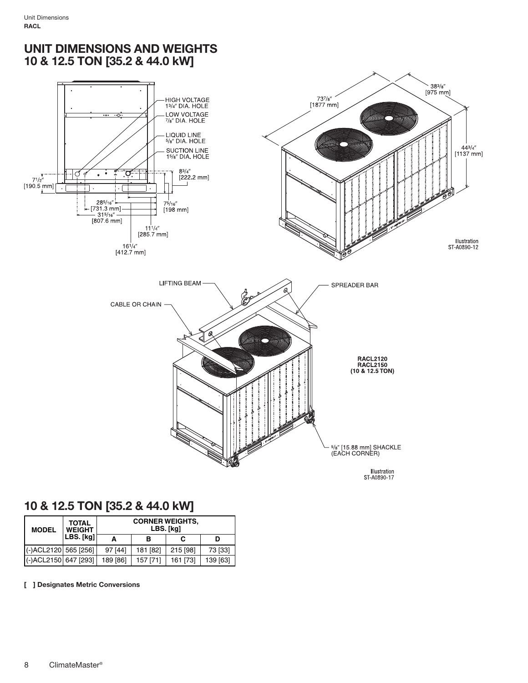### **UNIT DIMENSIONS AND WEIGHTS 10 & 12.5 TON [35.2 & 44.0 kW]**



### **10 & 12.5 TON [35.2 & 44.0 kW]**

| <b>MODEL</b>         | TOTAL<br><b>WEIGHT</b> |          | <b>CORNER WEIGHTS,</b><br>LBS. [kg] |          |          |
|----------------------|------------------------|----------|-------------------------------------|----------|----------|
|                      | LBS. [kg]              | А        | в                                   | С        | D        |
| (-)ACL2120 565 [256] |                        | 97 [44]  | 181 [82]                            | 215 [98] | 73 [33]  |
| (-)ACL2150 647 [293] |                        | 189 [86] | 157 [71]                            | 161 [73] | 139 [63] |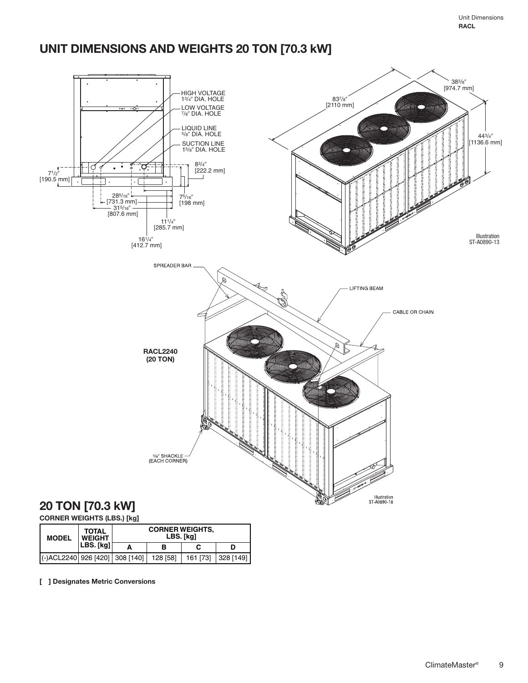# **UNIT DIMENSIONS AND WEIGHTS 20 TON [70.3 kW]**



### **CORNER WEIGHTS (LBS.) [kg]**

| <b>MODEL</b>                              | <b>TOTAL</b><br><b>WEIGHT</b> | <b>CORNER WEIGHTS,</b><br>LBS. [kg] |          |           |
|-------------------------------------------|-------------------------------|-------------------------------------|----------|-----------|
|                                           | LBS. [kg]                     | в                                   |          | D         |
| (-)ACL2240 926 [420] 308 [140]   128 [58] |                               |                                     | 161 [73] | 328 [149] |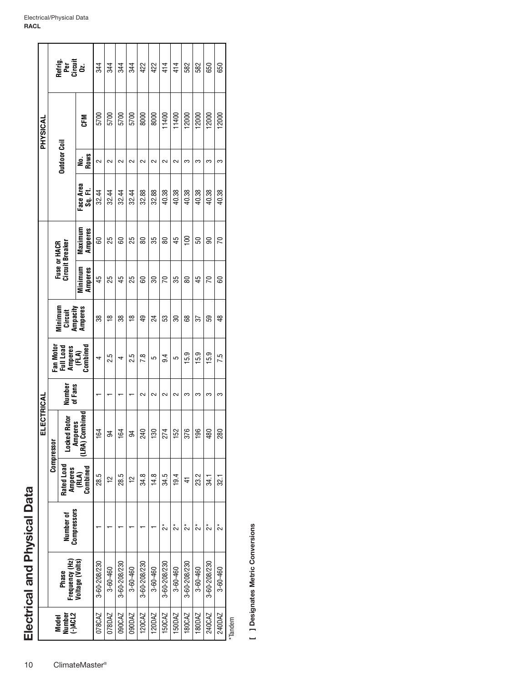|            |              | Refrig.<br>Per<br>Circuit<br>Oz. |                                 | 344          | 344      | 344          | 344         | 422          | 422            | 414          | 414      | 582             | 582            | 650          | 650      |        |
|------------|--------------|----------------------------------|---------------------------------|--------------|----------|--------------|-------------|--------------|----------------|--------------|----------|-----------------|----------------|--------------|----------|--------|
| PHYSICAL   |              |                                  | 군<br>55                         | 5700         | 5700     | 5700         | 5700        | 8000         | 8000           | 11400        | 11400    | 12000           | 12000          | 12000        | 12000    |        |
|            |              | <b>Outdoor Coil</b>              | No.<br>Rows                     | $\sim$       | $\sim$   | $\sim$       | $\sim$      | $\sim$       | $\sim$         | $\sim$       | $\sim$   | ຕ               | က              | က            | က        |        |
|            |              |                                  | Face Area<br>Sg. Fl             | 32.44        | 32.44    | 32.44        | 32.44       | 32.88        | 32.88          | 40.38        | 40.38    | 40.38           | 40.38          | 40.38        | 40.38    |        |
|            | Fuse or HACR | Circuit Breaker                  | Maximum<br>Amperes              | 8            | 55       | 8            | 25          | 8            | 35             | 8            | 45       | $\frac{8}{100}$ | S              | ၼ            | 5        |        |
|            |              |                                  | Minimum<br>Amperes              | 45           | 25       | 45           | 25          | 8            | ఇ              | 70           | 35       | 8               | 45             | 5            | ළ        |        |
|            |              | Minimum<br>Ampacity<br>Circuit   | Amperes                         | 38           | ₽        | 38           | ₽           | ą,           | 24             | S3           | 30       | 8               | 57             | S9           | \$       |        |
|            | Fan Moto     | Full Load<br>Amperes             | (FLA)<br>Combined               | 4            | 2.5      | 4            | 2.5         | 7.8          | 5              | 9.4          | 5        | $-6.9$          | 15.9           | 15.9         | 7.5      |        |
|            |              | Number<br>of Fans                |                                 |              |          |              |             | $\sim$       | $\sim$         | $\sim$       | $\sim$   | S               | S              | S            | က        |        |
| ELECTRICAL | Compressor   | Rotor<br>Locked                  | LRA) Combined<br><b>Amperes</b> | 164          | 34       | 164          | 34          | 240          | 130            | 274          | 152      | 9,<br>ᡖ         | 196            | 480          | 280      |        |
|            |              | Rated Load                       | Combined<br>Amperes<br>(RLA)    | 28.5         | 户        | 28.5         | $\tilde{c}$ | 34.8         | 14.8           | 34.5         | 19.4     | 4               | 23.2           | 34.1         | 32.1     |        |
|            |              | Number of<br>Compressors         |                                 |              |          |              |             |              |                | ្វ័          | ្វ័      | ្វ័             | ្វ័            | ្វ័          | ្វ័      |        |
|            |              | Frequency (Hz)<br>Phase          | Voltage (Volts)                 | 3-60-208/230 | 3-60-460 | 3-60-208/230 | 3-60-460    | 3-60-208/230 | $3 - 60 - 460$ | 3-60-208/230 | 3-60-460 | 3-60-208/230    | $3 - 60 - 460$ | 3-60-208/230 | 3-60-460 |        |
|            |              | Model<br>Number<br>(-)ACL2       |                                 | 078CAZ       | 078DAZ   | 090CAZ       | 090DAZ      | 120CAZ       | 120DAZ         | 150CAZ       | 150DAZ   | 180CAZ          | 180DAZ         | 240CAZ       | 240DAZ   | Tondom |

\*Tandem

[ ] Designates Metric Conversions **[ ] Designates Metric Conversions**

**Electrical and Physical Data**

Electrical and Physical Data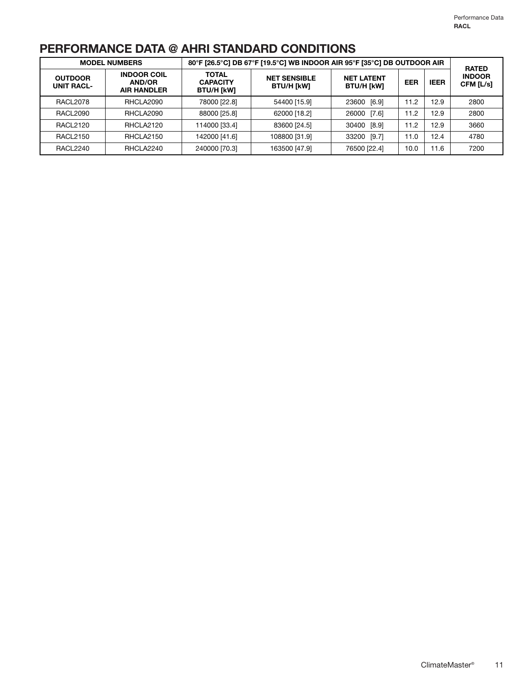# **PERFORMANCE DATA @ AHRI STANDARD CONDITIONS**

|                                     | <b>MODEL NUMBERS</b>                                      |                                                      | 80°F [26.5°C] DB 67°F [19.5°C] WB INDOOR AIR 95°F [35°C] DB OUTDOOR AIR |                                        |            |             | <b>RATED</b>               |
|-------------------------------------|-----------------------------------------------------------|------------------------------------------------------|-------------------------------------------------------------------------|----------------------------------------|------------|-------------|----------------------------|
| <b>OUTDOOR</b><br><b>UNIT RACL-</b> | <b>INDOOR COIL</b><br><b>AND/OR</b><br><b>AIR HANDLER</b> | <b>TOTAL</b><br><b>CAPACITY</b><br><b>BTU/H [kW]</b> | <b>NET SENSIBLE</b><br><b>BTU/H [kW]</b>                                | <b>NET LATENT</b><br><b>BTU/H [kW]</b> | <b>EER</b> | <b>IEER</b> | <b>INDOOR</b><br>CFM [L/s] |
| RACL2078                            | RHCLA2090                                                 | 78000 [22.8]                                         | 54400 [15.9]                                                            | 23600 [6.9]                            | 11.2       | 12.9        | 2800                       |
| RACL2090                            | RHCLA2090                                                 | 88000 [25.8]                                         | 62000 [18.2]                                                            | 26000 [7.6]                            | 11.2       | 12.9        | 2800                       |
| <b>RACL2120</b>                     | RHCLA2120                                                 | 114000 [33.4]                                        | 83600 [24.5]                                                            | 30400 [8.9]                            | 11.2       | 12.9        | 3660                       |
| <b>RACL2150</b>                     | RHCLA2150                                                 | 142000 [41.6]                                        | 108800 [31.9]                                                           | 33200 [9.7]                            | 11.0       | 12.4        | 4780                       |
| RACL2240                            | RHCLA2240                                                 | 240000 [70.3]                                        | 163500 [47.9]                                                           | 76500 [22.4]                           | 10.0       | 11.6        | 7200                       |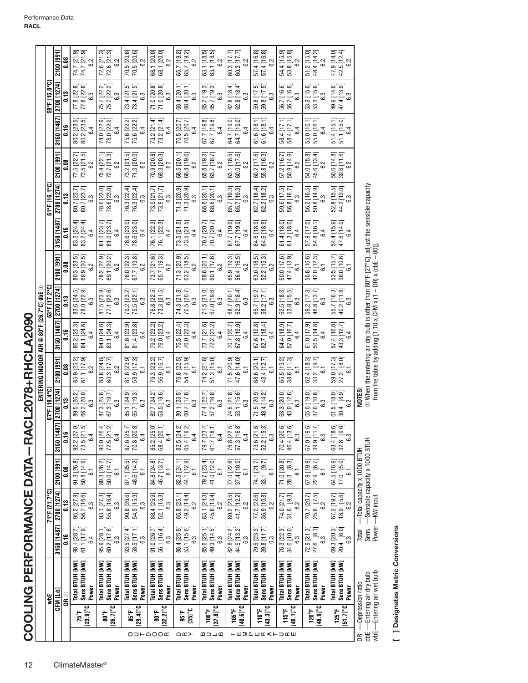| Total BTUH [KW]<br>Sens BTUH [kW]<br>Sens BTUH [kW]<br>Total BTUH [kW]<br>Sens BTUH [kW]<br>Sens BTUH [kW]<br>Total BTUH [kW]<br>Sens BTUH [kW]<br>Power<br>Power<br>Power<br>Power<br>CFM [L/s]<br>DR ®<br>¥<br>$[23.9]^{\circ}$ C<br>$[26.7]$ °C<br>[29.4]°C<br>$[32.2]$ °C<br>$[35]$ °C<br>80°F<br>75°F<br>រះន<br>90°F<br>មិន<br>OD⊢QOO <b>⊄</b><br>∩∝≻ | Total BTUH [kW]                   | 3150 [1487]<br>98.1 [28.7]<br>61.1 [17.9]<br>ី<br>6.4 | 71°F [21.7°C]<br>2700 [1274]      | 2100 [991]                                                  |                                                                             | 67°F [19.4°C]                          |                                                                             |                                                                                                                                                               | 63°F [17.2°C]                                  |                                               |                                                                    | 61°F [16.1°C]                         |                                                                                                                           |                                                  | 59°F [15.0°C]                               |                                                |
|------------------------------------------------------------------------------------------------------------------------------------------------------------------------------------------------------------------------------------------------------------------------------------------------------------------------------------------------------------|-----------------------------------|-------------------------------------------------------|-----------------------------------|-------------------------------------------------------------|-----------------------------------------------------------------------------|----------------------------------------|-----------------------------------------------------------------------------|---------------------------------------------------------------------------------------------------------------------------------------------------------------|------------------------------------------------|-----------------------------------------------|--------------------------------------------------------------------|---------------------------------------|---------------------------------------------------------------------------------------------------------------------------|--------------------------------------------------|---------------------------------------------|------------------------------------------------|
|                                                                                                                                                                                                                                                                                                                                                            |                                   |                                                       |                                   |                                                             |                                                                             |                                        |                                                                             |                                                                                                                                                               |                                                |                                               |                                                                    |                                       |                                                                                                                           |                                                  |                                             |                                                |
|                                                                                                                                                                                                                                                                                                                                                            |                                   |                                                       |                                   |                                                             | 3150 [1487]                                                                 | 2700 [1274]                            | $2100$ [991]                                                                | 3150 [1487]                                                                                                                                                   | 2700 [1274]                                    | 2100 [991]                                    | 3150 [1487]                                                        | 2700 [1274]                           | 2100 [991]                                                                                                                | 3150 [1487]                                      | 2700 [1274]                                 | 2100 [991]                                     |
|                                                                                                                                                                                                                                                                                                                                                            |                                   |                                                       | ្ជ                                | 80.0                                                        | 0.16                                                                        | 0.13                                   | 0.08                                                                        | 0.16                                                                                                                                                          | $\frac{13}{2}$                                 | <b>80.0</b>                                   | $\frac{16}{16}$                                                    | $\frac{13}{2}$                        | 80.0                                                                                                                      | ី                                                | 0.13                                        | <b>80.0</b>                                    |
|                                                                                                                                                                                                                                                                                                                                                            |                                   |                                                       | 95.2 [27.9]<br>56.7 [16.6]<br>6.3 | 91.3 [26.8]<br>50.8 [14.9]<br>$\overline{6}$                | 92.2 [27.0]<br>73.5 [21.5]<br>6.4                                           | 89.5 [26.2]<br>68.2 [20.0]<br>6.3      | 85.9 [25.2]<br>61.1 [17.9]<br>.<br>62                                       | 86.2 [25.3]<br>84.1 [24.6]<br>4                                                                                                                               | 83.6 [24.5]<br>78.0 [22.9]<br>6.3              | 80.3 [23.5]<br>69.9 [20.5]<br>6.2             | 83.2 [24.4]<br>83.2 [24.4]<br>6.4                                  | 80.7 [23.7]<br>80.7 [23.7]<br>6.3     | 77.5 [22.7]<br>73.5 [21.5]<br>$\sim$                                                                                      | 80.2 [23.5]<br>80.2 [23.5]<br>6.4                | 77.8 [22.8]<br>77.8 [22.8]<br>.<br>6.3      | نف نف<br>74.7 [21.<br>6.2<br>74.7 [21.         |
|                                                                                                                                                                                                                                                                                                                                                            |                                   | 95.9 [28.1]<br>60.2 [17.6]<br>6.3                     | 93.1 [27.3]<br>55.8 [16.4]<br>6.3 | 89.3 [26.2]<br>50.0 [14.7]<br>51                            | 90.0 [26.4]<br>72.5 [21.2]<br>6.4                                           | 87.3 [25.6]<br>67.3 [19.7]<br>6.3      | 83.8 [24.6]<br>60.3 [17.7]<br>6.2                                           | 84.0 [24.6]<br>83.1 [24.3]<br>6.4                                                                                                                             | 81.5 [23.9]<br>77.1 [22.6]<br>6.3              | 78.2 [22.9]<br>69.1 [20.2]<br>$\sim$<br>6     | $\begin{array}{c} 81.0\ [23.7] \\ 81.0\ [23.7] \end{array}$<br>6.4 | 78.6 [23.0]<br>78.6 [23.0]<br>6.3     | 75.4 [22.1]<br>72.7 [21.3]<br>6.2                                                                                         | 78.0 [22.9]<br>78.0 [22.9]<br>78.0 [22.9]<br>6.4 | 75.7 [22.2]<br>75.7 [22.2]<br>6.3           | <u>ယ် ယ</u><br>72.6 [21.<br>72.6 [21.<br>6.2   |
|                                                                                                                                                                                                                                                                                                                                                            |                                   | 93.5 [27.4]<br>58.5 [17.1]<br>.<br>63                 | 90.8 [26.6]<br>54.3 [15.9]<br>6.3 | 87.1 [25.5]<br>48.6 [14.2]<br>$\overline{6}$                | 70.8 [20.8]<br>87.6 [25.7]<br>6.4                                           | 85.1 [24.9]<br>65.7 [19.3]<br>.<br>63  | $.6$ [23.9]<br>$.9$ [17.3]<br>$\overline{6}$<br>$\frac{1}{5}$ $\frac{1}{5}$ | 81.6 [23.9]<br>81.4 [23.8]<br>6.4                                                                                                                             | 79.2 [23.2]<br>75.5 [22.1]<br>6.3              | 76.0 [22.3]<br>67.7 [19.8]<br>6.2             | 78.6 [23.0]<br>78.6 [23.0]<br>6.4                                  | 76.3 [22.4]<br>$76.3 [22.4]$<br>$6.3$ | 73.2 [21.5]<br>71.3 [20.9]<br>6.2                                                                                         | 75.6 [22.2]<br>75.6 [22.2]<br>6.4                | نی بہ<br>73.4 [21.<br>73.4 [21.<br>.<br>6.3 | 70.5 [20.6]<br>70.5 [20.6]<br>6.2              |
|                                                                                                                                                                                                                                                                                                                                                            | Total BTUH [kW]                   | 91.0 [26.7]<br>56.1 [16.4]<br>6.3                     | 88.4 [25.9]<br>52.1 [15.3]<br>6.3 | 84.8 [24.8]<br>46.7 [13.7]<br>$\overline{6}$                | 85.2 [25.0<br>68.4 [20.1<br>6.4                                             | 82.7 [24.2]<br>63.5 [18.6]<br>6.3      | 79.3 [23.2]<br>56.9 [16.7]<br>6.1                                           | 79.2 [23.2]<br>79.0 [23.2]<br>4                                                                                                                               | 76.8 [22.5]<br>73.3 [21.5]<br>6.3              | 73.7 [21.6]<br>65.7 [19.3]<br>6.2             | ಅ ಅ<br>76.1 [22.1]<br>76.1 [22.1]<br>6.4                           | 73.9 [21.7]<br>73.9 [21.7]<br>6.3     | 70.9 [20.8]<br>69.3 [20.3]<br>6.2                                                                                         | 73.2 [21.4]<br>73.2 [21.4]<br>6.4                | 71.0 [20.8]<br>71.0 [20.8]<br>6.3           | 68.1 [20.0]<br>68.1 [20.0]<br>6.2              |
| Power                                                                                                                                                                                                                                                                                                                                                      |                                   | 88.4 [25.9]<br>53.1 [15.6]<br>6.3                     | 49.2 [14.4]<br>85.8 [25.1]<br>6.2 | 82.3 [24.1]<br>44.1 [12.9]<br>$\overline{6}$                | 82.5 [24.2]<br>65.4 [19.2]<br>6.4                                           | 80.1 [23.5]<br>60.7 [17.8]<br>6.3      | 76.8 [22.5]<br>54.4 [15.9]<br>5                                             | 76.5 [22.4]<br>76.0 [22.3]<br>6.4                                                                                                                             | 74.3 [21.8]<br>70.5 [20.7]<br>63               | 71.3 [20.9]<br>63.2 [18.5]<br>6.2             | 73.5 [21.5]<br>73.5 [21.5]<br>6.4                                  | 71.3 [20.9]<br>71.3 [20.9]<br>6.3     | $\begin{array}{c} 68.5\;[20.1]\\ 66.8\;[19.6]\\ 6.2 \end{array}$                                                          | 70.5 [20.7]<br>70.5 [20.7]<br>6.4                | 68.4 [20.1]<br>68.4 [20.1]<br>6.3           | 65.7 [19.2]<br>65.7 [19.2]<br>$\sim$           |
| Total BTUH [kW]<br>Sens BTUH [kW]<br>Power<br>$[37.8]$ °C<br>100°F<br>മാ⊐മ                                                                                                                                                                                                                                                                                 |                                   | 85.6 [25.1]<br>49.3 [14.5]<br>6.3                     | 45.8 [13.4]<br>83.1 [24.3]<br>6.2 | 79.7 [23.4]<br>41.0 [12.0]<br>51                            | 79.7 [23.4]<br>$61.7$ [18.<br>6.4                                           | 77.4 [22.7]<br>57.2 [16.8]<br>6.3      | 74.2 [21.8]<br>51.3 [15.0]<br>$\overline{6}$                                | 73.7 [21.6]<br>72.2 [21.2]<br>6.4                                                                                                                             | 71.5 [21.0]<br>67.0 [19.6]<br>6.3              | 68.6 [20.1]<br>60.1 [17.6]<br>6.2             | 70.7 [20.7]<br>70.7 [20.7]<br>6.4                                  | 68.6 [20.1]<br>68.6 [20.1]<br>6.3     | 65.8 [19.3]<br>63.7 [18.7]<br>$\sim$<br>.<br>ت                                                                            | 67.7 [19.8]<br>67.7 [19.8]<br>6.4                | 65.7 [19.3]<br>65.7 [19.3]<br>63            | 63.1 [18.5]<br>63.1 [18.5]<br>$\sim$<br>.<br>ت |
| Power<br>[40.6]<br>105°F                                                                                                                                                                                                                                                                                                                                   | Sens BTUH [kW]<br>Total BTUH [kW] | 82.6 [24.2]<br>44.9 [13.2]<br>.<br>63                 | 80.2 [23.5]<br>41.7 [12.2]<br>6.2 | 77.0 [22.6]<br>37.4 [10.9]<br>$\overline{6}$                | 76.8 [22.5]<br>57.3 [16.8]<br>6.4                                           | 74.5 [21.8]<br>53.1 [15.6]<br>6.3      | 71.5 [20.9]<br>47.6 [14.0]<br>6.1                                           | 67.8 [19.9]<br>70.7 [20.7]<br>6.4                                                                                                                             | 68.7 [20.1]<br>62.9 [18.4]<br>$6.\overline{3}$ | 65.9 [19.3]<br>56.4 [16.5]<br>6.2             | 67.7 [19.9]<br>67.7 [19.9]<br>6.4                                  | 65.7 [19.3]<br>65.7 [19.3]<br>6.3     | $\begin{bmatrix} . & . & . & . & . & . & . & . \\ 60.0 & 17.6 & 0 & . & . & . \\ 6 & .2 & . & . & . & . \\ \end{bmatrix}$ | 64.7 [19.0]<br>64.7 [19.0]<br>6.4                | $62.8$ [18.4]<br>62.8 [18.4]<br>6.3         | $60.3$ [17.7]<br>60.3 [17.7]<br>$\sim$<br>نت   |
| Total BTUH [kW]<br>Sens BTUH [kW]<br>Power<br>$[43.3]$ °C<br><b>110°F</b><br><b>下EMPERATURE</b>                                                                                                                                                                                                                                                            |                                   | 79.5 [23.3]<br>39.8 [11.7]<br>6.3                     | 77.2 [22.6]<br>36.9 [10.8]<br>6.2 | 74.1 [21.7]<br>33.1 [9.7]<br>$\overline{6}$                 | 73.6 [21.6]<br>52.2 [15.3]<br>6.3                                           | 71.5 [20.9]<br>48.4 [14.2]<br>.<br>6.3 | 68.6 [20.1]<br>43.4 [12.7]<br>. -<br>စ                                      | 67.6 [19.8]<br>62.7 [18.4]<br>6.4                                                                                                                             | 65.7 [19.2]<br>58.2 [17.1]<br>6.3              | 63.0 [18.5]<br>52.2 [15.3]<br>6.2             | 64.6 [18.9]<br>64.6 [18.9]<br>6.4                                  | 62.7 [18.4]<br>62.2 [18.2]<br>6.3     | 60.2 [17.6]<br>55.8 [16.3]<br>$\sim$<br>نت                                                                                | 61.6 [18.1]<br>61.6 [18.1]<br>6.4                | 59.8 [17.5]<br>59.8 [17.5]<br>6.3           | 57.4 [16.8]<br>57.4 [16.8]<br>$\sim$<br>نت     |
| Sens BTUH [kW]<br>Total BTUH [kW]<br>Power<br>$[46.1]$ °C<br>115°F                                                                                                                                                                                                                                                                                         |                                   | 76.3 [22.3]<br>34.0 [10.0]<br>6.3                     | 74.0 [21.7]<br>31.6 [9.3]<br>6.2  | 71.0 [20.8]<br>28.3 [8.3]<br>$\overline{6}$ .               | 70.4 [20.6]<br>46.4 [13.6]<br>6.3                                           | 68.3 [20.0]<br>43.0 [12.6]<br>6.3      | 65.5 [19.2]<br>38.6 [11.3]<br>5                                             | 64.4 [18.9]<br>57.0 [16.7]<br>64.4 [18.9<br>4                                                                                                                 | 62.5 [18.3]<br>52.8 [15.5]<br>6.3              | 60.0 [17.6]<br>47.4 [13.9]<br>$\overline{6}$  | 61.4 [18.0]<br>61.3 [18.0]<br>6.4                                  | 59.6 [17.5]<br>56.8 [16.7]<br>6.3     | 57.2 [16.7]<br>50.9 [14.9]<br>$\sim$                                                                                      | 58.4 [17.1]<br>58.4 [17.1]<br>6.4                | 56.7 [16.6]<br>56.7 [16.6]<br>6.3           | 54.4 [15.9]<br>53.8 [15.8]<br>$\sim$           |
| Total BTUH [kW]<br>Sens BTUH [kW]<br>Power<br>$[48.9]$ °C<br><b>120°F</b>                                                                                                                                                                                                                                                                                  |                                   | 72.9 [21.3]<br>27.6 [8.1]<br>$6.\overline{3}$         | 25.6 [7.5]<br>6.2<br>70.7 [20.7]  | 67.9 [19.9]<br>22.9 [6.7]<br>$\overline{6}$                 | 67.0 [19.6]<br>39.9 [11.7]<br>6.3                                           | 37.0 [10.8]<br>65.0 [19.0]<br>6.3      | 62.4 [18.3]<br>33.2 [9.7]<br>ු                                              | 61.0 [17.9]<br>50.5 [14.8]<br>6.4                                                                                                                             | 59.2 [17.3]<br>46.8 [13.7]<br>6.3              | 56.8 [16.6]<br>42.0 [12.3]<br>$\overline{61}$ | 57.9 [17.0]<br>54.8 [16.1]<br>6.4                                  | 56.2 [16.5]<br>50.8 [14.9]<br>6.3     | ಹ<br>ਚ<br>54.0 [15.<br>45.6 [13.4<br>$\sim$<br>نت                                                                         | 55.0 [16.1]<br>55.0 [16.1]<br>6.4                | G.<br>Ġ,<br>53.3 [15.<br>53.3 [15.6<br>6.3  | $51.2$ $[15.0]$<br>48.4 [14.2]<br>.<br>62      |
| Total BTUH [kW]<br>Sens BTUH [kW]<br>Power<br>$[51.7]$ °C<br>$125^{\circ}$ F                                                                                                                                                                                                                                                                               |                                   | 69.3 [20.3]<br>20.4 [6.0]<br>6.3                      | 18.9 [5.6]<br>67.2 [19.7]<br>6.2  | 64.5 [18.9]<br>17.0 [5.0]<br>$\overline{6}$                 | 63.4 [18.6]<br>32.8 [9.6]<br>$32.8 \begin{array}{c} 9.6 \\ 6.3 \end{array}$ | 61.5 [18.0]<br>30.4 [8.9]<br>6.2       | 59.0 [17.3]<br>27.2 [8.0]<br>6                                              | 57.4 [16.8]<br>43.3 [12.7]<br>4<br>َص                                                                                                                         | 55.7 [16.3]<br>40.2 [11.8]<br>نی<br>$\circ$    | 53.5 [15.7]<br>36.0 [10.6]<br>$\overline{6}$  | 54.4 [15.9]<br>47.6 [14.0]<br>6.4                                  | 52.8 [15.5]<br>44.2 [13.0]<br>6.3     | 50.6 [14.8]<br>39.6 [11.6]<br>6.2                                                                                         | 51.4 [15.1]<br>51.1 [15.0]<br>6.4                | 47.4 [13.9]<br>49.9 [14.6]<br>က<br>6        | 47.9 [14.0]<br>$42.5$ [12.4]<br>$6.2$          |
| dbE - Entering air dry bulb<br>-Depression ratio<br>g                                                                                                                                                                                                                                                                                                      |                                   | Sens<br>Total                                         |                                   | Sensible capacity x 1000 BTUH<br>Total capacity x 1000 BTUH |                                                                             | NOTES:                                 |                                                                             | $\odot$ When the entering air dry bulb is other than 80°F [27°C], adjust the sensible capacity from the table by adding [1.10 x CFM x (1 – DR) x (dbE – 80)]. |                                                |                                               |                                                                    |                                       |                                                                                                                           |                                                  |                                             |                                                |

[ ] Designates Metric Conversions **[ ] Designates Metric Conversions**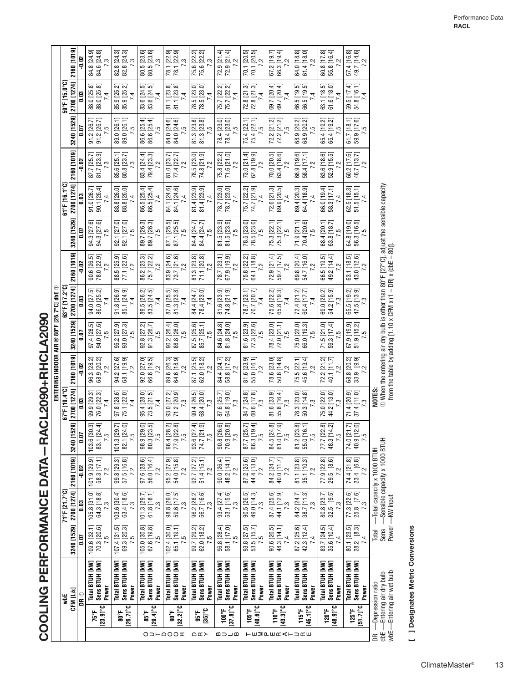COOLING PERFORMANCE DATA-RACL2090+RHCLA2090 **COOLING PERFORMANCE DATA—RACL2090+RHCLA2090**

|                              |                                     |                                                          |                                                                   |                                                                      |                                   |                                                                      |                                                                    | ENTERING INDOOR AIR @ 80°F [26.7°C] dbE $\odot$ |                                   |                                               |                                   |                                                                                                                                                               |                                   |                                   |                                                                    |                                                                      |                                                                                       |
|------------------------------|-------------------------------------|----------------------------------------------------------|-------------------------------------------------------------------|----------------------------------------------------------------------|-----------------------------------|----------------------------------------------------------------------|--------------------------------------------------------------------|-------------------------------------------------|-----------------------------------|-----------------------------------------------|-----------------------------------|---------------------------------------------------------------------------------------------------------------------------------------------------------------|-----------------------------------|-----------------------------------|--------------------------------------------------------------------|----------------------------------------------------------------------|---------------------------------------------------------------------------------------|
|                              |                                     | ₩                                                        |                                                                   | 71°F [21.7°C]                                                        |                                   |                                                                      | 67°F [19.4°C                                                       |                                                 |                                   | 63°F [17.2°C]                                 |                                   |                                                                                                                                                               | 61°F [16.1°C]                     |                                   |                                                                    | 59°F [15.0°C]                                                        |                                                                                       |
|                              |                                     | CFM [L/s]                                                | 3240 [1529]                                                       | 2700 [1274]                                                          | 2160 [1019]                       | 529]<br>3240 [1                                                      | 2700 [1274]                                                        | 2160 [1019]                                     | 3240 [1529]                       | 2700 [1274]                                   | 2160 [1019]                       | 3240 [1529]                                                                                                                                                   | 2700 [1274]                       | 2160 [1019]                       | 3240 [1529]                                                        | 2700 [1274]                                                          | 2160 [1019]                                                                           |
|                              |                                     | DR 0                                                     | lo:0                                                              | 0.03                                                                 | $-0.02$                           | 5<br>0.07                                                            | C.O                                                                | $-0.02$                                         | 0.07                              | <b>CO</b>                                     | $-0.02$                           | <b>G.O</b>                                                                                                                                                    | <b>9.03</b>                       | $-0.02$                           | 0.O                                                                | 0.03                                                                 | $-0.02$                                                                               |
|                              | 75°F                                | Total BTUH [kW]                                          | 109.6 [32.1]                                                      |                                                                      | 101.9 [29.9]                      | 30.3<br>103.6                                                        | 99.9 [29.3]                                                        | 96.3 [28.2]<br>68.9 [20.2]                      | 97.4 [28.5]<br>94.0 [27.6]        | 94.0 [27.5]<br>86.0 [25.2]                    | 90.6 [26.5]<br>78.0 [22.9]        | 94.3 [27.6]<br>94.3 [27.6]                                                                                                                                    | 91.0 [26.7]                       | 87.7 [25.7]                       |                                                                    | 88.0 [25.8]                                                          | 84.8 [24.9]<br>84.6 [24.8]                                                            |
|                              | $[23.9]$ °C                         | Sens BTUH [kW]<br>Power                                  | 70.3 [20.6]<br>5<br>J.                                            | $\begin{array}{c} 105.8\ [31.0] \\ 64.3\ [18.8] \\ 7.3 \end{array}$  | 58.3 [17.1]<br>7.2                | 83.1 [24.4]<br>7.5                                                   | 76.0 [22.3]<br>7.4                                                 | 7.2                                             | 7.5                               | 7.4                                           | 7.2                               | 7.5                                                                                                                                                           | 90.1 [26.4]<br>7.4                | 81.7 [23.9]<br>7.3                | 91.2 [26.7]<br>91.2 [26.7]<br>7.5                                  | 88.0 [25.8]<br>7.4                                                   | 7.3                                                                                   |
|                              | 1°58                                | Total BTUH [kW]                                          |                                                                   |                                                                      |                                   |                                                                      |                                                                    |                                                 |                                   |                                               |                                   |                                                                                                                                                               |                                   | 85.6 [25.1]                       |                                                                    |                                                                      |                                                                                       |
|                              | $[26.7]$ °C                         | Sens BTUH [kW]<br>Power                                  | $107.4$ [31.5]<br>69.3 [20.3]<br>7.5                              | $\begin{array}{c} 103.6\ [30.4]\\ 63.4\ [18.6]\\ 7.3 \end{array}$    | 99.8 [29.3]<br>57.5 [16.8]<br>7.2 | $\begin{array}{c} 101.3\ [29.7] \\ 82.1\ [24.0] \\ 7.5 \end{array}$  | 97.8 [28.6]<br>75.1 [22.0]<br>7.4                                  | 94.2 [27.6]<br>68.1 [19.9]<br>7.2               | 95.2 [27.9]<br>93.0 [27.3]<br>7.5 | 91.8 [26.9]<br>85.1 [24.9]<br>7.4             | 88.5 [25.9]<br>77.1 [22.6]<br>72  | 92.1 [27.0]<br>92.1 [27.0]<br>7.5                                                                                                                             | 88.8 [26.0]<br>88.8 [26.0]<br>7.4 | 80.8 [23.7]<br>7.3                | $\begin{array}{c} 89.0\ [26.1] \\ 89.0\ [26.1] \\ 7.5 \end{array}$ | 85.9 [25.2]<br>85.9 [25.2]<br>7.4                                    | 82.8 [24.3]<br>82.8 [24.3]<br>7.3                                                     |
|                              |                                     | Total BTUH [kW]                                          |                                                                   | $101.3$ [29.7]                                                       | 97.6 [28.6]                       |                                                                      |                                                                    |                                                 |                                   |                                               |                                   |                                                                                                                                                               | 86.5 [25.4]                       | 83.4 [24.4]                       | 86.6 [25.4]                                                        | 83.6 [24.5]                                                          | 80.5 [23.6]                                                                           |
| $O D H \triangle O O \times$ | $[29.4]^{\circ}C$<br>85°F           | Sens BTUH [kW]<br>Power                                  | 105.0 [30.8]<br>67.6 [19.8]<br>$\overline{7.5}$                   | $61.8$ [18.1]<br>$7.3$                                               | 56.0 [16.4]<br>7.2                | 98.9 [29.0]<br>80.3 [23.5]<br>$\overline{7.5}$                       | 95.4 [28.0]<br>73.5 [21.5]<br>7.4                                  | 92.0 [27.0]<br>66.6 [19.5]<br>7.2               | 92.8 [27.2]<br>91.3 [26.7]<br>7.5 | 89.5 [26.2]<br>83.5 [24.5]<br>7.4             | 86.2 [25.3]<br>75.7 [22.2]<br>7.2 | 89.7 [26.3]<br>89.7 [26.3]<br>$\overline{7.5}$                                                                                                                | 86.5 [25.4]<br>7.4                | 79.4 [23.3]<br>7.2                | 86.6 [25.4]<br>7.5                                                 | 83.6 [24.5]<br>7.4                                                   | 80.5 [23.6]<br>7.3                                                                    |
|                              |                                     | Total BTUH [kW]                                          | 102.4 [30.0]                                                      |                                                                      | 95.2 [27.9]                       |                                                                      | 93.0 [27.2]                                                        | 89.6 [26.3]                                     | 90.2 [26.4]                       | 87.0 [25.5]                                   | 83.9 [24.6]                       |                                                                                                                                                               | 84.1 [24.6]                       | 81.0 [23.7]                       | 84.0 [24.6]                                                        | 81.1 [23.8]                                                          | 78.1 [22                                                                              |
|                              | $[32.2]^{\circ}C$<br>$90^{\circ}$ F | Sens BTUH [kW]<br>Power                                  | 65.1 [19.1]<br>7.5                                                | 98.8 [29.0]<br>59.6 [17.5]<br>7.3                                    | 54.0 [15.8]<br>7.2                | ವ ಪ<br>96.4 [28.2]<br>77.9 [22.8]                                    | 71.2 [20.9]<br>7.3                                                 | 64.6 [18.9]<br>7.2                              | 88.8 [26.0]<br>7.5                | 81.3 [23.8]<br>7.4                            | $73.7$ [21.6]<br>$7.2$            | 87.1 [25.5]<br>87.1 [25.5]<br>7.5                                                                                                                             | 84.1 [24.6]<br>7.4                | 77.4 [22.7]<br>7.2                | 84.0 [24.6]<br>7.5                                                 | 81.1 [23.8]<br>7.4                                                   | 78.1 [22.9]<br>78.1 [22.9]<br>7.3                                                     |
| ∩∝≻                          | មិនិ                                | Total BTUH [kW]                                          |                                                                   |                                                                      | 92.7 [27.2]                       |                                                                      |                                                                    | 87.1 [25.5]<br>62.0 [18.2]                      | 87.5 [25.6]                       | 84.4 [24.7]                                   |                                   |                                                                                                                                                               | 81.4 [23.9]<br>81.4 [23.9]        | 78.5 [23.0]<br>74.8 [21.9]        |                                                                    | 78.5 [23.0]<br>78.5 [23.0]                                           | <u> zi zi</u><br>75.6 [22.                                                            |
|                              | $351^{\circ}C$                      | Sens BTUH [kW]<br>Power                                  | 99.7 [29.2]<br>62.0 [18.2]<br>7.5                                 | 96.2 [28.2]<br>56.7 [16.6]<br>7.3                                    | 51.4 [15.1]<br>7.2                | 93.6 [27.4]<br>74.7 [21.9]<br>7.5                                    | $\begin{array}{c} 90.4\ [26.5] \\ 68.4\ [20.0] \\ 7.3 \end{array}$ | 7.2                                             | 85.7 [25.1]<br>Ē.                 | 78.4 [23.0]<br>7.4                            | 81.3 [23.8]<br>71.1 [20.8]<br>7.2 | $84.4 [24.7]$ $84.4 [24.7]$                                                                                                                                   | 7.4                               | $\overline{7.2}$                  | $\begin{array}{c} 81.3\ [23.8] \\ 81.3\ [23.8] \\ 7.5 \end{array}$ | 7.4                                                                  | 75.6 [22.<br>7.3                                                                      |
|                              | 100°F                               | Total BTUH [kW]                                          |                                                                   |                                                                      | 90.0 [26.4]<br>48.2 [14.1]        |                                                                      | 87.6 [25.7]                                                        | 84.4 [24.7]<br>58.8 [17.2]                      |                                   |                                               | 78.7 [23.1]                       |                                                                                                                                                               | 78.7 [23.0]<br>78.7 [23.0]        |                                   |                                                                    | 75.7 [22.2]<br>75.7 [22.2]                                           |                                                                                       |
| هدده                         | $37.81^{\circ}$ C                   | Sens BTUH [kW]<br>Power                                  | 96.8 [28.4]<br>58.1 [17.0]<br>7.5                                 | 93.4 [27.4]<br>53.1 [15.6]<br>7.3                                    | 7.2                               | $\begin{array}{l} 90.8\ [26.6] \\ 70.9\ [20.8] \\ 7.5\ \end{array}$  | 64.8 [19.0]<br>7.3                                                 | 7.2                                             | 84.6 [24.8]<br>81.8 [24.0]<br>7.5 | 81.6 [23.9]<br>74.8 [21.9]<br>7.4             | 67.9 [19.9]<br>7.2                | $\begin{array}{l} 81.5\, [23.9] \\ 81.5\, [23.9] \\ 7.5 \end{array}$                                                                                          | 7.4                               | 75.8 [22.2]<br>71.6 [21.0]<br>7.2 | 78.4 [23.0]<br>78.4 [23.0]<br>7.5                                  | 7.4                                                                  | $\begin{array}{ c c }\n\hline\n72.9 & c. \\ 72.9 & [21.4] \\ 72.9 & 7.2\n\end{array}$ |
|                              | $105^{\circ}$ F                     | Total BTUH [kW]                                          |                                                                   |                                                                      |                                   |                                                                      |                                                                    |                                                 |                                   | 78.7 [23.1]                                   |                                   |                                                                                                                                                               |                                   | 73.0 [21.4]                       | 75.4 [22.1]                                                        |                                                                      |                                                                                       |
| 〒EMPERATURE                  | $10.61^{\circ}$                     | Sens BTUH [kW]<br>Power                                  | 93.8 [27.5]<br>53.5 [15.7]<br>7.5                                 | $\begin{array}{c} 90.5\; [26.5] \\ 49.0\; [14.3] \\ 7.3 \end{array}$ | 87.2 [25.6]<br>44.4 [13.0]<br>7.2 | $\begin{array}{c} 87.7 \ [25.7] \\ 66.3 \ [19.4] \\ 7.5 \end{array}$ | 84.7 [24.8]<br>60.6 [17.8]<br>7.3                                  | 81.6 [23.9]<br>55.0 [16.1]<br>7.2               | 81.6 [23.9]<br>77.3 [22.6]<br>7.5 | 70.7 [20.7]<br>7.4                            | 75.8 [22.2]<br>64.1 [18.8]<br>7.2 | 78.5 [23.0]<br>78.5 [23.0]<br>7.5                                                                                                                             | 75.7 [22.2]<br>74.7 [21.9]<br>7.4 | 67.8 [19.9]<br>7.2                | 75.4 [22.1]<br>7.5                                                 | $\begin{array}{c} 72.8 \ [21.3]\\ 72.8 \ [21.3]\\ 7 \ 4 \end{array}$ | 70.1 [20.5]<br>70.1 [20.5]<br>7.2                                                     |
|                              | 110°F                               | Total BTUH [kW]                                          | 90.6 [26.5]                                                       |                                                                      | 84.2 [24.7]                       |                                                                      | 81.6 [23.9]                                                        | 78.6 [23.0]<br>50.6 [14.8]                      | 78.4 [23.0]                       | 75.6 [22.2]<br>65.8 [19.3]                    | 72.9 [21.4]                       |                                                                                                                                                               | 72.6 [21.3]<br>69.9 [20.5]        | 70.0 [20.5]                       |                                                                    | 69.7 [20.4]                                                          | 67.2 [19.7]                                                                           |
|                              | $[43.3]$ °C                         | Sens BTUH [kW]<br>Power                                  | 48.3 [14.1]<br>7.4                                                | 87.4 [25.6]<br>44.1 [12.9]<br>7.3                                    | 40.0 [11.7]<br>7.2                | 84.5 [24.8]<br>61.0 [17.9]<br>7.5                                    | 55.8 [16.4]<br>7.3                                                 | 7.2                                             | 72.0 [21.1]<br>7.5                | 7.4                                           | 59.7 [17.5]<br>7.2                | 75.3 [22.1]<br>75.3 [22.1]<br>7.5                                                                                                                             | 7.4                               | 63.4 [18.6]<br>7.2                | ವ ವ<br>72.2 [21.1]<br>72.2 [21.1]<br>7.5                           | 69.7 [20.4]<br>7.4                                                   | 66.3 [19.4]<br>7.2                                                                    |
|                              | 115°F                               | Total BTUH [kW]                                          | 87.2 [25.6]<br>42.3 [12.4]                                        | 84.2 [24.7]                                                          | 81.1 [23.8]<br>35.1 [10.3]        | 23.8]<br>16.1]                                                       | 78.3 [23.0]                                                        | 75.5 [22.1]                                     |                                   | 72.4 [21.2]<br>60.4 [17.7]                    | 69.8 [20.4]                       | 71.9 [21.1]                                                                                                                                                   | 69.4 [20.3]<br>64.4 [18.9]        | 66.9 [19.6]                       | 68.9 [20.2]<br>68.9 [20.2]                                         | 66.5 [19.5]                                                          | 64.0 [18.8]                                                                           |
|                              | $[46.1]$ °C                         | Sens BTUH [kW]<br>Power                                  | 7.4                                                               | $38.7$ [11.3]<br>$7.3$                                               | 7.2                               | 81.2 [2<br>55.0 [1<br>7.5                                            | $50.3$ [14.8]<br>7.3                                               | 45.6 [13.4]<br>7.2                              | 75.0 [22.0]<br>66.0 [19.3]<br>7.5 | 7.4                                           | 54.7 [16.0]<br>7.2                | $70.4$ [20.6]<br>$7.5$                                                                                                                                        | 7.4                               | 58.4 [17.1]<br>7.2                | 68.9 20.2                                                          | 66.5 [19.5]<br>7.4                                                   | 61.4 [18.0]<br>$\overline{7.2}$                                                       |
|                              | <b>120°F</b>                        | Total BTUH [kW]                                          | 83.7 [24.5]                                                       | 80.8 [23.7]                                                          | 77.9 [22.8]                       | 77.7 [22.8]<br>48.3 [14.2]                                           | 75.0 [22.0]                                                        | 72.2 [21.2]<br>40.1 [11.7]                      | 71.5 [21.0]                       | 69.0 [20.2]<br>54.2 [15.9]                    | 66.5 [19.5]                       | 68.4 [20.1]                                                                                                                                                   | 66.0 [19.4]                       | 63.6 [18.6]                       | 65.4 [19.2]                                                        | 63.1 [18.5]<br>61.6 [18.0]                                           | 60.8 [17.8]                                                                           |
|                              | $[48.9]$ °C                         | Sens BTUH [kW]<br>Power                                  | 35.6 [10.4]<br>7.4                                                | $32.5$ [9.5]<br>$7.3$                                                | $29.5$ $[8.6]$<br>$7.2$           | 48.3 [1<br>7.5                                                       | 44.2 [13.0]<br>7.3                                                 | 7.2                                             | 59.3 [17.4]<br>$\frac{5}{2}$      | $\overline{7}$ .3                             | 49.2 [14.4]<br>$\overline{7}$ .2  | 63.8 [18.7]<br>7.5                                                                                                                                            | 58.3 [17.1]<br>7.4                | 52.9 [15.5]<br>7.2                | 5<br>65.4 [19.<br>7.5                                              | 7.4                                                                  | 55.8 [16.4]<br>7.2                                                                    |
|                              | 3.1716<br>$125^{\circ}$ F           | Total BTUH [kW]<br>Sens BTUH [kW]<br>Power               | $\begin{array}{c} 80.1\ [23.5] \\ 28.2\ [8.3] \\ 7.4 \end{array}$ | 77.3 [22.6]<br>25.8 [7.6]<br>7.3                                     | 74.4 [21.8]<br>23.4 [6.8]<br>7.2  | 74.0 [21.7]<br>40.9 [12.0]<br>7.5                                    | 71.4 [20.9]<br>$37.4$ [11.0]<br>$7.3$                              | 68.8 [20.2]<br>33.9 [9.9]<br>7.2                | 67.9 [19.9]<br>51.9 [15.2]<br>7.5 | 65.5 [19.2]<br>47.5 [13.9]<br>$\overline{73}$ | 63.1 [18.5]<br>43.0 [12.6]<br>7.2 | 64.8 [19.0]<br>56.3 [16.5]<br>7.5                                                                                                                             | 62.5 [18.3]<br>51.5[15.1]<br>7.4  | 60.2 [17.6]<br>46.7 [13.7]<br>7.2 | $61.7$ [18.1]<br>59.9 [17.6]<br>7.5                                | 59.5 [17.4]<br>54.8 [16.1]<br>7.4                                    | 57.4 [16.8]<br>49.7 [14.6]<br>7.2                                                     |
| $\mathbb{E}$                 |                                     | -Depression ratio                                        | Total                                                             |                                                                      | Total capacity x 1000 BTUH        |                                                                      | NOTES:                                                             |                                                 |                                   |                                               |                                   |                                                                                                                                                               |                                   |                                   |                                                                    |                                                                      |                                                                                       |
|                              |                                     | wbE-Entering air wet bulb<br>dbE - Entering air dry bulb | Sens                                                              | Power-KW input                                                       | -Sensible capacity x 1000 BTUH    |                                                                      |                                                                    |                                                 |                                   |                                               |                                   | $\odot$ When the entering air dry bulb is other than 80°F [27°C], adjust the sensible capacity from the table by adding [1.10 x CFM x (1 – DR) x (dbE – 80)]. |                                   |                                   |                                                                    |                                                                      |                                                                                       |

Performance Data **RACL**

[ ] Designates Metric Conversions **[ ] Designates Metric Conversions**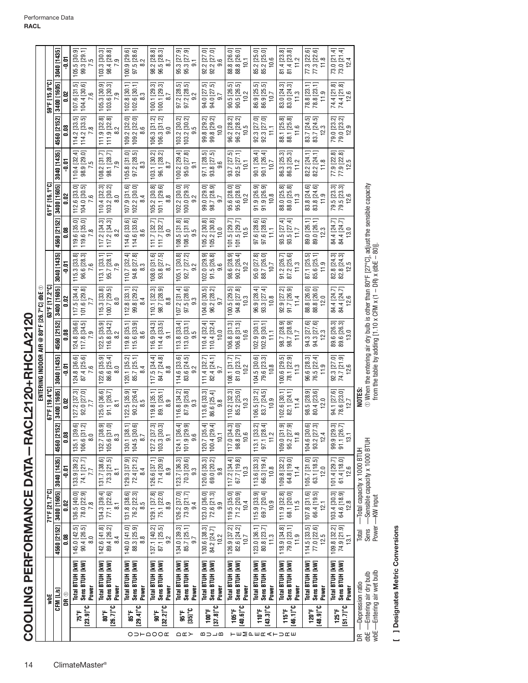| 120.7 [35.4]<br>100.4 [29.4]<br>$[27.2 [37.3]$ 103.3 [30.3]<br>124.1 [36.4]<br>101.9 [29.9]<br>104.6 [30.6]<br>93.2 [27.3]<br>4560 [215<br>130.1 [38.<br>104.5 [30.<br>$98.8$ [29.1]<br>$10.6$<br>$113.1$ [33.<br>97.1 [28.<br>95.2 [27.9<br>99.9 [29.1]<br>91.1 [26.1]<br>135.1 [39<br>106.6 [31]<br>132.7 [38.<br>117.0 [34<br>104.6 [30<br>105.6 [31<br>109.0 [31<br>11.2<br>11.8<br>12.4<br>0.08<br>10,1<br>8.0<br>8.3<br>9.6<br>8.7<br>$\overline{9}$ .<br>71.4 [20.9]<br>123.7 [36.3]<br>70.3 [20.6]<br>$\begin{array}{c} 131.7\ [38.6] \\ 73.3\ [21.5] \end{array}$<br>126.6 [37.1]<br>120.6 [35.3]<br>69.0 [20.2]<br>74.1 [21.7]<br>72.4 [21.2]<br>117.2 [34.4]<br>$67.7$ [19.8]<br>10.3<br>109.8 [32.2]<br>64.8 [19.0]<br>105.7 [31.0]<br>133.9 [39.2]<br>113.6 [33.3]<br>66.3 [19.4]<br>63.1 [18.5]<br>61.4 [18.0]<br>3040 [1435]<br>129.3 [37.9]<br>$101.4$ [29.7]<br>11.4<br>12.0<br>10.8<br>ត្<br>8.9<br>9.3<br>9.8<br>7.7<br>84<br>$\overline{8}$<br>3400 [1605]<br>71°F [21.7°C]<br>119.5 [35.0]<br>129.1 [37.8]<br>103.4 [30.3]<br>78.0 [22.9]<br>134.3 [39.4]<br>77.1 [22.6]<br>71.2 [20.9]<br>115.9 [33.9]<br>$\begin{array}{c} 111.9\,\, [32.8] \\ 68.1\,\, [20.0] \\ 11.5 \end{array}$<br>$107.8$ [31.6]<br>66.4 [19.5]<br>64.6 [18.9]<br>136.5 [40.0]<br>131.8 [38.6]<br>75.1 [22.0]<br>126.2 [37.0]<br>73.9 [21.7]<br>$[23.0 [36.0]$<br>$72.6 [21.3]$<br>69.7 [20.4]<br>76.2 [22.3]<br>10.4<br>10.9<br>9.OZ<br>7.8<br>9.9<br>12.1<br>. မှ<br>ထ<br>8.9<br>9.4<br>$\overline{8}$ .<br>142.6 [41.8]<br>89.4 [26.2]<br>134.0 [39.3]<br>126.9 [37.2]<br>123.0 [36.1]<br>114.5 [33.5]<br>$77.0$ [22.6]<br>12.5<br>4560 [2152]<br>145.0 [42.5]<br>90.4 [26.5]<br>140.0 [41.0]<br>88.3 [25.9]<br>137.1 [40.2]<br>87.1 [25.5]<br>82.6 [24.2]<br>10.7<br>80.8 [23.7]<br>118.9 [34.8]<br>79.0 [23.1]<br>109.8 [32.2]<br>74.9 [21.9]<br>85.7 [25.1]<br>130.6 [38.3]<br>84.2 [24.7]<br>10.2<br>$\frac{3}{11}$<br>11.9<br><b>ខ</b> ្ល<br>$\overline{8.0}$<br>$\frac{8}{3}$<br>8.4<br>2<br>9.7<br>Total BTUH [kW]<br>Total BTUH [kW]<br>Total BTUH [KW]<br>Total BTUH [kW]<br>Sens BTUH [kW]<br>Total BT UH [kW]<br>Sens BTUH [kW]<br>Total BTUH [kW]<br>Sens BTUH [kW]<br>Total BTUH [kW]<br>Sens BTUH [kW]<br>Sens BTUH [kW]<br>Total BTUH [kW]<br>Total BTUH [kW]<br>Sens BTUH [kW]<br>Total BTUH [kW]<br>Sens BTUH [kW]<br>Sens BTUH [kW]<br>Sens BTUH [kW]<br>Sens BTUH [kW]<br>Sens BTUH [kW]<br>Total BTUH [kW]<br>Power<br>Power<br>Power<br>Power<br>Power<br>Power<br>Power<br>Power<br>Power<br>Power<br>CFM [L/s]<br>DR ®<br>yd<br>$(26.7)^{\circ}C$<br>$[48.9]$ °C<br>$[23.9]$ °C<br>$[37.8]$ <sup>c</sup><br>$[43.3]$ °C<br>$[46.1]$ °C<br>[29.4]°C<br>$[32.2]$ °C<br>[40.6]<br>100°F<br>105°F<br><b>120°F</b><br>$[35]$ °C<br>110°F<br>115°F<br>$125^{\circ}$ F<br>75°F<br>9.08<br>90°F<br>រីនិ<br>មិនិ<br>OD⊢QOO <b>⊄</b><br>∩∝≻<br>മാ⊐മ<br>〒EMPERATURE |                                                                                 | ENTERING INDOOR AIR @ 80°F [26.7°C]                                                                                                                                                                                                                                                                                                                                   | dbE $\odot$                                                                     |                                                                                  |                                                                                         |                                                                     |                                                                     |                                                                         |                                                |                                                                             |
|--------------------------------------------------------------------------------------------------------------------------------------------------------------------------------------------------------------------------------------------------------------------------------------------------------------------------------------------------------------------------------------------------------------------------------------------------------------------------------------------------------------------------------------------------------------------------------------------------------------------------------------------------------------------------------------------------------------------------------------------------------------------------------------------------------------------------------------------------------------------------------------------------------------------------------------------------------------------------------------------------------------------------------------------------------------------------------------------------------------------------------------------------------------------------------------------------------------------------------------------------------------------------------------------------------------------------------------------------------------------------------------------------------------------------------------------------------------------------------------------------------------------------------------------------------------------------------------------------------------------------------------------------------------------------------------------------------------------------------------------------------------------------------------------------------------------------------------------------------------------------------------------------------------------------------------------------------------------------------------------------------------------------------------------------------------------------------------------------------------------------------------------------------------------------------------------------------------------------------------------------------------------------------------------------------------------------------------------------------------------------------------------------------------------------------------------------------------------------------------------------------------------------------------------------------------------------------------------------------------------------------------------------------------------------------------------------------------------------------------------------------------------------------------------------------------------------------------------------------------------------------|---------------------------------------------------------------------------------|-----------------------------------------------------------------------------------------------------------------------------------------------------------------------------------------------------------------------------------------------------------------------------------------------------------------------------------------------------------------------|---------------------------------------------------------------------------------|----------------------------------------------------------------------------------|-----------------------------------------------------------------------------------------|---------------------------------------------------------------------|---------------------------------------------------------------------|-------------------------------------------------------------------------|------------------------------------------------|-----------------------------------------------------------------------------|
|                                                                                                                                                                                                                                                                                                                                                                                                                                                                                                                                                                                                                                                                                                                                                                                                                                                                                                                                                                                                                                                                                                                                                                                                                                                                                                                                                                                                                                                                                                                                                                                                                                                                                                                                                                                                                                                                                                                                                                                                                                                                                                                                                                                                                                                                                                                                                                                                                                                                                                                                                                                                                                                                                                                                                                                                                                                                                | 67°F [19.4°C]                                                                   |                                                                                                                                                                                                                                                                                                                                                                       | 63°F [17.2°C]                                                                   |                                                                                  |                                                                                         | 61°F [16.1°C]                                                       |                                                                     |                                                                         | 59°F [15.0°C]                                  |                                                                             |
|                                                                                                                                                                                                                                                                                                                                                                                                                                                                                                                                                                                                                                                                                                                                                                                                                                                                                                                                                                                                                                                                                                                                                                                                                                                                                                                                                                                                                                                                                                                                                                                                                                                                                                                                                                                                                                                                                                                                                                                                                                                                                                                                                                                                                                                                                                                                                                                                                                                                                                                                                                                                                                                                                                                                                                                                                                                                                | 3400 [1605]<br>21                                                               | 4560 [2152]<br>3040 [1435]                                                                                                                                                                                                                                                                                                                                            | 3400 [1605]                                                                     | 3040 [1435]                                                                      | 4560 [2152]                                                                             | 3400 [1605]                                                         | 3040 [1435]                                                         | 4560 [2152]                                                             | 3400 [1605]                                    | 3040 [1435]                                                                 |
|                                                                                                                                                                                                                                                                                                                                                                                                                                                                                                                                                                                                                                                                                                                                                                                                                                                                                                                                                                                                                                                                                                                                                                                                                                                                                                                                                                                                                                                                                                                                                                                                                                                                                                                                                                                                                                                                                                                                                                                                                                                                                                                                                                                                                                                                                                                                                                                                                                                                                                                                                                                                                                                                                                                                                                                                                                                                                | <b>0.02</b>                                                                     | 0.08<br>$\frac{5}{7}$                                                                                                                                                                                                                                                                                                                                                 | 0.02                                                                            | ត្                                                                               | $\frac{8}{10}$                                                                          | ຮຸ<br><b>ت</b>                                                      | ទី                                                                  | 80.0                                                                    | ຮ<br>ö                                         | ត្ត                                                                         |
|                                                                                                                                                                                                                                                                                                                                                                                                                                                                                                                                                                                                                                                                                                                                                                                                                                                                                                                                                                                                                                                                                                                                                                                                                                                                                                                                                                                                                                                                                                                                                                                                                                                                                                                                                                                                                                                                                                                                                                                                                                                                                                                                                                                                                                                                                                                                                                                                                                                                                                                                                                                                                                                                                                                                                                                                                                                                                | $127.2 [37.3]$<br>$92.0 [27.0]$<br>$\overline{77}$<br>ত ম                       | $\begin{array}{ c c c }\n\hline\n124.8 & 36.6 \\ \hline\n117.8 & 34.5\n\end{array}$<br>တ<br>$\overline{ }$<br>124.8 [36.6]<br>87.4 [25.6]<br>124.8 [36.<br>ဖ                                                                                                                                                                                                          | 4.<br>101.6 [29.8]<br>117.5 [34                                                 | 115.3 [33.8]<br>96.6 [28.3]<br>$\tilde{\mathbf{c}}$<br>$\overline{ }$            | 119.6 [35.0]<br>119.6 [35.0]<br>$\infty$                                                | គ ឆ<br>112.6 [33.<br>104.0 [30.5<br>7.6                             | ਦ ਪ<br>110.4 [32.<br>98.9 [29.<br>5<br>J.                           | 114.2 [33.5]<br>114.2 [33.5]<br>œ                                       | 5<br>104.4 [30.6]<br>107.6 [31                 | $99.3$ [29.1]<br>$7.5$<br>$105.5$ [30.                                      |
|                                                                                                                                                                                                                                                                                                                                                                                                                                                                                                                                                                                                                                                                                                                                                                                                                                                                                                                                                                                                                                                                                                                                                                                                                                                                                                                                                                                                                                                                                                                                                                                                                                                                                                                                                                                                                                                                                                                                                                                                                                                                                                                                                                                                                                                                                                                                                                                                                                                                                                                                                                                                                                                                                                                                                                                                                                                                                | 125.0 [36.6]<br>91.1 [26.7]<br>5<br>ಎ ದ                                         | 122.5 [35.9]<br>116.8 [34.2]<br>ς.<br>$\infty$<br>122.6 [35.9]<br>86.6 [25.4]<br>$\circ$<br>$\infty$                                                                                                                                                                                                                                                                  | 115.3 [33.8]<br>100.7 [29.5]<br>100.7 [29.<br>Q<br>$\infty$                     | 113.1 [33.1]<br>95.7 [28.1]<br>ၜ                                                 | 117.2 [34.3]<br>117.2 [34.3]<br>ς.<br>∞                                                 | 110.4 [32.3]<br>103.2 [30.2]<br>8.0                                 | $\frac{108.2}{98.1}\frac{[31.7]}{[28.7]}$<br>98.1 [28.7]            | <u>ಜ ಜ</u><br>22<br>111.9 [32.<br>$\sim$<br>111.9                       | <u>ခဲ မ</u><br>$105.3$ [30.<br>103.6 [30.<br>ၜ | $\begin{bmatrix} 103.3 & 30.3 \\ 98.4 & 28.8 \end{bmatrix}$<br>$103.3$ [30. |
|                                                                                                                                                                                                                                                                                                                                                                                                                                                                                                                                                                                                                                                                                                                                                                                                                                                                                                                                                                                                                                                                                                                                                                                                                                                                                                                                                                                                                                                                                                                                                                                                                                                                                                                                                                                                                                                                                                                                                                                                                                                                                                                                                                                                                                                                                                                                                                                                                                                                                                                                                                                                                                                                                                                                                                                                                                                                                | 122.5 [35.9]<br>$90.2 [26.4]$<br>$8.5$<br>╤<br>ତ                                | $115.6$ [33.9]<br>8.6<br>119.8 [35.1]<br>$120.1$ [35.2]<br>85.7 [25.1]<br>4<br>∞                                                                                                                                                                                                                                                                                      | $112.8$ [33.1]<br>8[29.2]<br>4<br>$\infty$<br>99                                | $110.7$ [32.4]<br>$94.8$ [27.8]                                                  | $\begin{bmatrix} .0 & 0.3 & 0 \\ 0.3 & 0.3 & 0 \\ 0 & 0 & 0 \\ 0 & 0 & 0 \end{bmatrix}$ | $102.2$ $[30.0]$<br>107.9 [31.6]<br>8.4                             | 105.8 [31.0]<br>97.2 [28.5]<br>$97.2$ [28.9]                        | ਠ<br>$109.2$ $[32.0]$<br>109.2 [32.<br>ِ<br>∞                           | $102.8$ [30.1]<br>$102.6$ [30.1]<br>8.3        | $\begin{bmatrix} .3 & 29.6 \\ 97.5 & 28.6 \\ 8.2 & 2 \end{bmatrix}$         |
|                                                                                                                                                                                                                                                                                                                                                                                                                                                                                                                                                                                                                                                                                                                                                                                                                                                                                                                                                                                                                                                                                                                                                                                                                                                                                                                                                                                                                                                                                                                                                                                                                                                                                                                                                                                                                                                                                                                                                                                                                                                                                                                                                                                                                                                                                                                                                                                                                                                                                                                                                                                                                                                                                                                                                                                                                                                                                | 119.8 [35.1]<br>89.1 [26.1]<br>8.9                                              | $\begin{bmatrix} 7 & 0.34 & 0.31 \\ 0.14 & 0.14 & 0.33 \\ 0.5 & 0.7 & 0.7 \\ 0.7 & 0.7 & 0.7 \\ 0.7 & 0.7 & 0.7 \\ 0.8 & 0.7 & 0.7 \\ 0.8 & 0.7 & 0.7 \\ 0.8 & 0.7 & 0.7 \\ 0.9 & 0.7 & 0.7 \\ 0.9 & 0.7 & 0.7 \\ 0.9 & 0.7 & 0.7 \\ 0.9 & 0.7 & 0.7 \\ 0.9 & 0.7 & 0.7 \\ 0.9 & 0.7 & 0.7 \\$<br>$\begin{array}{c} 117.5\ [34.4] \\ 84.7\ [24.8] \\ 8.8 \end{array}$ | $\begin{bmatrix} 110.1 & 32.3 \\ 98.7 & 28.9 \\ 8.8 & \end{bmatrix}$            | $\begin{bmatrix} 108.0 & [31.6] \\ 93.8 & [27.5] \\ 8.7 & \end{bmatrix}$<br>108. | $\begin{array}{c} 111.7\ [32.7] \\ 111.7\ [32.7] \\ 9.0 \end{array}$                    | $\begin{bmatrix} 105.2 & 30.8 \\ 101.1 & 29.6 \end{bmatrix}$<br>8.8 | ਕ ਕ<br>96.1 [28.<br>103.1 [30.<br>∞                                 | $\begin{array}{c} 106.3\ [31.2]\\ 106.3\ [31.2] \end{array}$<br>$\circ$ | 100.1 [29.3]<br>100.1 [29.3]<br>∞              | 98.2 [28.8]<br>96.5 [28.3]<br>∞                                             |
|                                                                                                                                                                                                                                                                                                                                                                                                                                                                                                                                                                                                                                                                                                                                                                                                                                                                                                                                                                                                                                                                                                                                                                                                                                                                                                                                                                                                                                                                                                                                                                                                                                                                                                                                                                                                                                                                                                                                                                                                                                                                                                                                                                                                                                                                                                                                                                                                                                                                                                                                                                                                                                                                                                                                                                                                                                                                                | 116.8 [34.2]<br>87.9 [25.8]<br>က<br>တ                                           | 113.0 [33.1]<br>113.8 [33.<br>ΓÓ.<br>ၜ<br>$\begin{bmatrix} 114.6 & 33.6 \\ 83.6 & 24.5 \\ 9.2 & \end{bmatrix}$                                                                                                                                                                                                                                                        | $\begin{array}{c} 107.2\ [31.4]\\ 97.5\ [28.6]\\ 9.3 \end{array}$<br>107.<br>न  | $\begin{array}{c} 105.1 [30.8] \\ 92.7 [27.2] \end{array}$<br>$\sim$<br>ၜ        | $\begin{array}{c} 108.5\,\,[31.8] \\ 108.5\,\,[31.8] \\ 9.5 \end{array}$                | $102.2$ [30.0]<br>$100.0$ [29.3]<br>$\sim$<br>တ                     | $100.2$ [29.4]<br>95.0 [27.8]<br>တ                                  | ਕ ਕ<br>103.2 [30<br>103.2 [30.<br>ΓÓ.<br>တ                              | ភេ ភ<br>97.2 [28.<br>97.2 [28.<br>$\sim$<br>တ  | 95.3 [27.9]<br>95.3 [27.9]<br>တ                                             |
|                                                                                                                                                                                                                                                                                                                                                                                                                                                                                                                                                                                                                                                                                                                                                                                                                                                                                                                                                                                                                                                                                                                                                                                                                                                                                                                                                                                                                                                                                                                                                                                                                                                                                                                                                                                                                                                                                                                                                                                                                                                                                                                                                                                                                                                                                                                                                                                                                                                                                                                                                                                                                                                                                                                                                                                                                                                                                | <u>ន</u><br>113.6 [33.3]<br>86.6 [25.4]<br>9.8                                  | 110.4 [32.<br>$110.4$ [32.4]<br>.4 [24.1]<br>$111.4$ [32.7]<br>တ                                                                                                                                                                                                                                                                                                      | $\begin{array}{c} 104.0\ [30.5]\\ 96.2\ [28.2]\\ 9.7 \end{array}$<br>$\pm$<br>₹ | $\begin{array}{c} 102.0\ [29.9] \\ 91.5\ [26.8] \\ 9.6 \end{array}$              | 105.2 [30.8]<br>105.2 [30.8]<br>10.0                                                    | 99.0 [29.0]  <br>98.7 [28.9]<br>9.7                                 | 97.1 [28.5]<br>93.8 [27.5]<br>$\circ$<br>တ                          | 99.8 [29.2]<br>99.8 [29.2]<br>10.0                                      | ត ត<br>94.0 [27.<br>94.0 [27.<br>9.7           | 92.2 [27.0]<br>92.2 [27.0]<br>တ                                             |
|                                                                                                                                                                                                                                                                                                                                                                                                                                                                                                                                                                                                                                                                                                                                                                                                                                                                                                                                                                                                                                                                                                                                                                                                                                                                                                                                                                                                                                                                                                                                                                                                                                                                                                                                                                                                                                                                                                                                                                                                                                                                                                                                                                                                                                                                                                                                                                                                                                                                                                                                                                                                                                                                                                                                                                                                                                                                                | $\begin{array}{c} 110.2\,\,[32.3] \\ 85.2\,\,[25.0] \\ 10.3 \end{array}$<br>ਨ ਰ | $106.8$ [31.3]<br>$106.8$ [31.3]<br>$10.6$<br>$108.1$ [31.7]<br>$81.0$ [23.7]<br>$10.2$                                                                                                                                                                                                                                                                               | <u>ئ</u><br>94.8 [27.8]<br>10.3<br>100.5 [29.                                   | $\begin{bmatrix} 98.6 & z & z \\ 90.2 & [26.4] \\ 10.2 & z \end{bmatrix}$        | $101.5 [29.7]$<br>$101.5 [29.7]$<br>$10.5$                                              | $\begin{array}{l} 95.6\ [28.0] \\ 95.6\ [28.0] \\ 10.2 \end{array}$ | $\begin{array}{c} 93.7\ [27.5] \\ 92.5\ [27.1] \\ 10.1 \end{array}$ | ਕ ਕ<br>96.2 [28<br>$96.2$ [28.]<br>$10.5$                               | ត ត<br>90.5 [26.<br>$90.5$ [26.]               | 88.8 [26.0]<br>88.8 [26.0]<br>10,1                                          |
|                                                                                                                                                                                                                                                                                                                                                                                                                                                                                                                                                                                                                                                                                                                                                                                                                                                                                                                                                                                                                                                                                                                                                                                                                                                                                                                                                                                                                                                                                                                                                                                                                                                                                                                                                                                                                                                                                                                                                                                                                                                                                                                                                                                                                                                                                                                                                                                                                                                                                                                                                                                                                                                                                                                                                                                                                                                                                | $106.5$ [31.2]<br>$83.7$ [24.5]<br>10.9<br>ਕ ਵ                                  | 102.9 [30.1]<br>$102.9$ [30.1]<br>H<br>$\frac{104.5}{79.6} \frac{[30.6]}{[23.3]}$<br>$\frac{10.8}{10.8}$                                                                                                                                                                                                                                                              | $\begin{array}{c} 96.9\,\,[28.4]\\ 93.3\,\,[27.4]\\ 10.8 \end{array}$           | $\begin{array}{c} 95.0\ [27.8]\\ 88.7\ [26.0]\\ 10.7 \end{array}$                | 97.6 [28.6]<br>97.6 [28.6]<br>11.1                                                      | <u>ේ ප</u><br>91.9 [26.9<br>91.9 [26.9<br>10.8                      | 90.1 [26.4]<br>90.1 [26.4]<br>10.7                                  | 92.3 [27.0]<br>92.3 [27.0]<br>11.1                                      | ភូត<br>86.9 [25.<br>86.9 [25.1]<br>10.7        | 85.2 [25.0]<br>85.2 [25.0]<br>10.6                                          |
|                                                                                                                                                                                                                                                                                                                                                                                                                                                                                                                                                                                                                                                                                                                                                                                                                                                                                                                                                                                                                                                                                                                                                                                                                                                                                                                                                                                                                                                                                                                                                                                                                                                                                                                                                                                                                                                                                                                                                                                                                                                                                                                                                                                                                                                                                                                                                                                                                                                                                                                                                                                                                                                                                                                                                                                                                                                                                | 102.6 [30.1]<br>82.1 [24.1]<br>11.4<br>ಕ್ ಕ್                                    | $\begin{array}{c} 98.7\,\,[28.9] \\ 98.7\,\,[28.9] \\ 11.7 \end{array}$<br>$\begin{bmatrix} 29.5 \\ 78.1 [22.9] \\ 11.3 \end{bmatrix}$                                                                                                                                                                                                                                | 92.9 [27.2]<br>91.7 [26.9]<br>11.4                                              | 91.2 [26.7]<br>87.2 [25.6]<br>11.3                                               | $\begin{array}{c} 93.5 \ [27.4] \\ 93.5 \ [27.4] \\ 11.7 \end{array}$                   | 88.0 [25.8]<br>88.0 [25.8]<br>11.3                                  | $\begin{bmatrix}   25.3] \\ 86.3 [25.3] \\ 11.2 \end{bmatrix}$      | $\begin{bmatrix} . & 125.8 \\ 88.1 & 25.8 \\ 11.6 \end{bmatrix}$        | 83.0 [24.3]<br>83.0 [24.3]<br>11.3             | 81.4 [23.8]<br>81.4 [23.8]<br>11.2                                          |
|                                                                                                                                                                                                                                                                                                                                                                                                                                                                                                                                                                                                                                                                                                                                                                                                                                                                                                                                                                                                                                                                                                                                                                                                                                                                                                                                                                                                                                                                                                                                                                                                                                                                                                                                                                                                                                                                                                                                                                                                                                                                                                                                                                                                                                                                                                                                                                                                                                                                                                                                                                                                                                                                                                                                                                                                                                                                                | 98.5 [28.9]<br>80.4 [23.6]<br>12.0                                              | 94.3 [27.6]<br>94.3 [27.6]<br>12.3<br>96.6 [28.3]<br>76.5 [22.4]<br>11.9                                                                                                                                                                                                                                                                                              | 88.8 [26.0]<br>88.8 [26.0]<br>12.0                                              | 87.1 [25.5]<br>85.6 [25.1]<br>11.9                                               | 89.0 [26.1]<br>89.0 [26.1]<br>12.3                                                      | <u>ෙ</u> ව<br>83.8 [24.6<br>83.8 [24.6<br>11.9                      | 82.2 [24.1]<br>$82.2 [24.1]$<br>$11.8$                              | ត ត<br>83.7 [24.<br>83.7 [24.]<br>12.3                                  | ╤<br>든<br>78.8 [23.<br>78.8 [23.]<br>11.9      | 77.3 [22.6]<br>77.3 [22.6]<br>11.8                                          |
| 13.1<br>12.6<br>12.8<br>13.1<br>Power<br>$[51.7]$ °C                                                                                                                                                                                                                                                                                                                                                                                                                                                                                                                                                                                                                                                                                                                                                                                                                                                                                                                                                                                                                                                                                                                                                                                                                                                                                                                                                                                                                                                                                                                                                                                                                                                                                                                                                                                                                                                                                                                                                                                                                                                                                                                                                                                                                                                                                                                                                                                                                                                                                                                                                                                                                                                                                                                                                                                                                           | 94.1 [27.6]<br>78.6 [23.0]<br>12.7<br>ಪ ಗ                                       | 89.6 [26.]<br>89.6 [26.]<br>13.0<br>92.3 [27.0]<br>74.7 [21.9]<br>12.6                                                                                                                                                                                                                                                                                                | 84.4 [24.7]<br>84.4 [24.7]<br>12.6<br>نن<br>نع.                                 | .8 [24.3]<br>.8 [24.3]<br>12.5<br>ಜ ಜ                                            | 84.4 [24.7]<br>84.4 [24.7]<br>13.0                                                      | ಪ ಪ<br>79.5 [23.3<br>79.5 [23.3<br>12.6                             | 77.9 [22.8]<br>77.9 [22.8]<br>12.5                                  | ਕ ਕ<br>79.0 [23.1]<br>79.0 [23.1]<br>12.9                               | 74.4 [21.8]<br>74.4 [21.8]<br>12.6             | 73.0 [21.4]<br>73.0 [21.4]<br>12.4                                          |
| Sensible capacity x 1000 BTUH<br>Total capacity x 1000 BTUH<br>Sens<br>Total<br>wbE-Entering air wet bulb<br>dbE - Entering air dry bulb<br>-Depression ratio<br>$\mathbb{E}$                                                                                                                                                                                                                                                                                                                                                                                                                                                                                                                                                                                                                                                                                                                                                                                                                                                                                                                                                                                                                                                                                                                                                                                                                                                                                                                                                                                                                                                                                                                                                                                                                                                                                                                                                                                                                                                                                                                                                                                                                                                                                                                                                                                                                                                                                                                                                                                                                                                                                                                                                                                                                                                                                                  | NOTES:                                                                          | $\odot$ When the entering air dry bulb is other than 80°F [27°C], adjust the sensible capacity from the table by adding [1.10 x CFM x (1 – DR) x (dbE – 80)].                                                                                                                                                                                                         |                                                                                 |                                                                                  |                                                                                         |                                                                     |                                                                     |                                                                         |                                                |                                                                             |

[ ] Designates Metric Conversions **[ ] Designates Metric Conversions**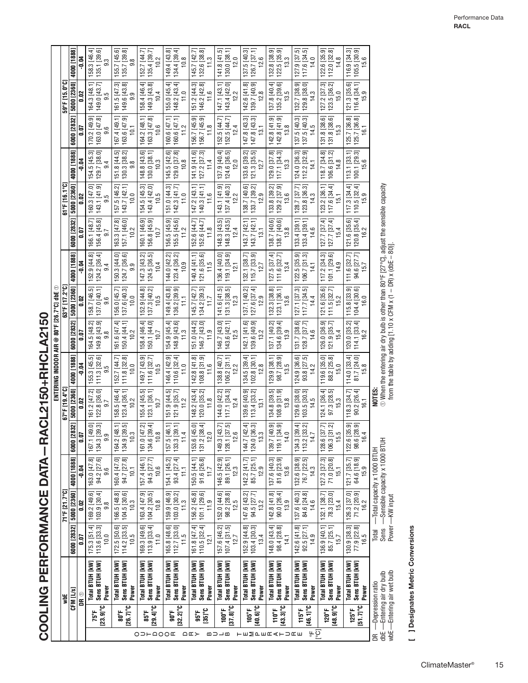COOLING PERFORMANCE DATA - RACL2150+RHCLA2150 **COOLING PERFORMANCE DATA—RACL2150+RHCLA2150**

|                                                               | y                                                                            |                                                                          | 71°F 121.7°C1                                                            |                                       |                                                                                                                    | 67°F [19.4°C]                                                           | ENTERING INDOOR AIR                                                   |                                                                                                                                                                 | 63°F [17.2°C]<br>@ 80°F [26.7°C] dbE ①   |                                             |                                          | 61°F [16.1°C]                                                         |                                                                              |             |                                      | ្រះ<br>59°F [15.                                                                                                    |
|---------------------------------------------------------------|------------------------------------------------------------------------------|--------------------------------------------------------------------------|--------------------------------------------------------------------------|---------------------------------------|--------------------------------------------------------------------------------------------------------------------|-------------------------------------------------------------------------|-----------------------------------------------------------------------|-----------------------------------------------------------------------------------------------------------------------------------------------------------------|------------------------------------------|---------------------------------------------|------------------------------------------|-----------------------------------------------------------------------|------------------------------------------------------------------------------|-------------|--------------------------------------|---------------------------------------------------------------------------------------------------------------------|
|                                                               | CFM [L/s]                                                                    | 6000 [2832]                                                              | 5000 [2360]                                                              | 4000 [1888]                           | 832]<br>6000 [2                                                                                                    | 5000 [2360]                                                             | 4000 [1888]                                                           | 6000 [2832]                                                                                                                                                     | 5000 [2360]                              | 4000 [1888]                                 | 6000 [2832]                              | 5000 [2360]                                                           |                                                                              | 4000 [1888] | 6000 [2832]                          | 5000 [2360]                                                                                                         |
|                                                               | DR ®                                                                         | 0.07                                                                     | 0.02                                                                     | $-0.04$                               | ā,                                                                                                                 | 0.02                                                                    | $-0.04$                                                               | 0.07                                                                                                                                                            | 0.02                                     | $-0.04$                                     | 0.07                                     | 0.02                                                                  | $-0.04$                                                                      |             | 0.O                                  | ຮ                                                                                                                   |
| 75°F                                                          | Sens BTUH [kW]<br>Total BTUH [kW]                                            | $[75.3 [51.4]$<br>$[13.6 [33.3]$                                         | 169.2 [49.6]<br>103.9 [30.4]                                             | 163.0 [47.8]<br>94.2 [27.6]           | 167.1 [49.0]<br>134.3 [39.3]                                                                                       | 122.8 [36.0]<br><u>ត្</u><br>161.2 [47]                                 | 155.3 [45.5]<br>11.3 [32.6]                                           | 164.5 [48.2]<br>149.8 [43.9]                                                                                                                                    | 137.0 [40.1]<br>.7 [46.5]<br>158.        | 124.2 [36.4]<br>.9[44.8]<br>52.             | 156.4 [45.8]<br>166.1 [48.7]             | 143.1 [41.9]<br>160.3 [47.0]                                          | 154.5 [45.3]<br>129.7 [38.0]                                                 |             | 163.0 [47.8]<br>170.2 [49.9]         | 164.3 [48.1]<br>149.0 [43.7]                                                                                        |
| $[23.9]^{\circ}$ C                                            | Power                                                                        | 10.0                                                                     | $9.\overline{8}$                                                         | 9.6                                   | 9.9                                                                                                                | 9.7                                                                     | တ                                                                     | $\infty$<br>တ                                                                                                                                                   | 9.6                                      | 9.4                                         | တ                                        | 9.5                                                                   | 9.4                                                                          |             | 9.6                                  |                                                                                                                     |
| <b>a</b> 08                                                   | Sens BTUH [kW]<br>Total BTUH [KW]<br>Power<br>$[26.7]^{\circ}C$              | 172.5 [50.6]<br>114.2 [33.5]<br>10.5                                     | 166.5 [48.8]<br>$104.5$ [30.6]<br>10.3                                   | 160.4 [47.0]<br>94.7 [27.8]<br>10.1   | 164.2 [48.1]<br>134.9 [39.5]<br>10.3                                                                               | ₹<br>123.4 [36.1]<br>158.5 [46.<br>10.2                                 | 111.8 [32.8]<br>152.7 [44.7]<br>10.0                                  | 161.6 [47.4]<br>150.4 [44.1]<br>10.2                                                                                                                            | 156.0 [45.7]<br>137.6 [40.3]<br>10.0     | 150.3 [44.0]<br>124.7 [36.6]<br>9.9         | 163.3 [47.8]<br>157.1 [46.0]<br>10.2     | 157.5 [46.2]<br>143.7 [42.1]<br>10.0                                  | $\begin{array}{c} 151.8 \ [44.5]\\ 130.3 \ [38.2] \end{array}$<br>151.8 [44. |             | .4 [49.1]<br>163.6 [47.9]<br>167.    | 161.5 [47.3]<br>149.6 [43.8]<br>9.9                                                                                 |
| 85°F<br>O D H Q O Q E                                         | Total BTUH [kW]<br>Sens BTUH [kW]<br>Power<br>$[29.4]$ °C                    | 113.9 [33.4]<br>169.3 [49.6]<br>11.0                                     | 163.4 [47.9]<br>104.2 [30.5]<br>10.8                                     | 157.4 [46.1]<br>94.5 [27.7]<br>10.6   | $\frac{1}{10.8}$<br>$[47.2]$ 161.0 $[47.2]$                                                                        | 155.4 [45.5]<br>123.1 [36.1]<br>10.7                                    | 149.7 [43.9]<br>111.6 [32.7]<br>10.5                                  | 158.4 [46.4]<br>150.1 [44.0]<br>10.7                                                                                                                            | 137.3 [40.2]<br>152.9 [44.8]<br>10.5     | 147.3 [43.2]<br>124.5 [36.5]<br>10.4        | 156.8 [45.9]<br>160.1 [46.9]<br>10.7     | 154.5 [45.3]<br>143.4 [42.0]<br>10.5                                  | 130.0 [38.1]<br>148.8 [43.6]<br>10.3                                         |             | 163.3 [47.8]<br>64.2 [48.1]<br>10.6  | 158.4 [46.4]<br>149.3 [43.8]<br>10.4                                                                                |
| $[32.2]$ °C<br>$90^\circ$                                     | Sens BTUH [kW]<br>Total BTUH [kW]<br>Power                                   | $112.7$ $[33.0]$<br>165.8 [48.6]<br>11.5                                 | $\begin{bmatrix} 159.9 & [46.9] \ 103.0 & [30.2] \ 11.3 & \end{bmatrix}$ | 93.4 [27.4]<br>154.1 [45.2]<br>Ħ      | 39.1<br>46.1]<br>11.4<br>$157.5$ [4<br>133.3 [3]                                                                   | 151.9 [44.5]<br>$121.9$ [35.7]<br>11.2                                  | 146.4 [42.9]<br>110.6 [32.4]<br>11.0                                  | 154.9 [45.4]<br>$\begin{bmatrix} 148.9 & 43.6 \ 11.3 & 1 \end{bmatrix}$                                                                                         | 149.4 [43.8]<br>136.2 [39.9]<br>H        | 144.0 [42.2]<br>123.4 [36.2]<br>10.9        | 156.5 [45.9]<br>155.5 [45.6]<br>11.2     | 151.0 [44.3]<br>$142.3$ $[41.7]$<br>11.0                              | 145.5 [42.6]<br>$129.0 [37.8]$<br>$10.8$                                     |             | 160.6 [47.1]                         | 155.0 [45.4]<br>$148.2$ [43.4]<br>11.0<br>$\begin{bmatrix} 160.6 & 47.1 \\ 11.2 & \end{bmatrix}$                    |
| $351^{\circ}C$<br>95°F<br>$\Omega$                            | Sens BTUH [kW]<br>Total BTUH [kW]<br>Power                                   | 161.8 [47.4]<br>$110.5$ [32.4]<br>12.1                                   | 156.2 [45.8]<br>101.1 [29.6]<br>11.9                                     | 150.5 [44.1]<br>91.6 [26.8]<br>11.7   | 153.6 [45.0]<br>131.2 [38.4]<br>12.0                                                                               | 148.2 [43.4]<br>120.0 [35.2]<br>11.8                                    | 142.8 [41.8]<br>$\begin{bmatrix} 108.8 & 31.9 \ 11.6 & \end{bmatrix}$ | 151.0 [44.2]<br>146.7 [43.0]<br>$\frac{1}{11.9}$                                                                                                                | 145.7 [42.7]<br>$134.2$ [39.3]<br>$11.7$ | 140.4 [41.1]<br>121.6 [35.6]<br>11.5        | $152.6 [44.7]$<br>$11.8$<br>152.6 [44.7] | 147.2 [43.1]<br>$\begin{bmatrix} 140.3 & 41.1 \ 11.6 & \end{bmatrix}$ | 141.9 [41.6]<br>127.2 [37.3]<br>11.4                                         |             | 156.7 [45.9]<br>156.7 [45.9]<br>11.8 | 151.2 [44.3]<br>$146.2$ [42.8]<br>$11.6$                                                                            |
| 3.81.6<br>100°F<br>മ⊃⊐മ                                       | Sens BTUH [kW]<br>Total BTUH [kW]<br>Power                                   | 157.6 [46.2]<br>107.4 [31.5]<br>12.7                                     | $\begin{array}{c} 152.0\ [44.6] \\ 98.2\ [28.8] \\ 12.5 \end{array}$     | 89.1 [26.1]<br>146.5 [42.9]<br>12.3   | $\begin{array}{ c c } \hline & 149.3 & [43.7] \hline \\ & 128.1 & [37.5] \hline \\ & 12.6 & \\ \hline \end{array}$ | 144.0 [42.2]<br>117.1 [34.3]<br>12.4                                    | $106.2$ [31.1]<br>138.8 [40.7]<br>12.2                                | 146.7 [43.0]<br>143.6 [42.1]<br>12.5                                                                                                                            | $[41.6] 41.5]$ $[31.3] 38.5]$<br>12.3    | 136.4 [40.0]<br>119.1 [34.9]<br>12.1        | 148.3 [43.5]<br>148.3 [43.5]<br>12.4     | 143.1 [41.9]<br>137.4 [40.3]<br>12.2                                  | 137.9 [40.4]<br>124.6 [36.5]<br>12.0                                         |             | 152.5 [44.7]<br>152.5 [44.7]<br>12.4 | 143.4 [42.0]<br>147.1 [43.1]<br>12.2                                                                                |
| 105°F                                                         | Total BTUH [kW]<br>Sens BTUH [kW]<br>Power<br>[40.6]                         | $\begin{bmatrix} 152.9 & [44.8] \\ 103.4 & [30.3] \end{bmatrix}$<br>13.4 | 147.6 [43.2]<br>94.5 [27.7]<br>13.2                                      | 85.7 [25.1]<br>142.2 [41.7]<br>12.9   | 144.7 [42.4]<br>124.0 [36.3]<br>13.3                                                                               | 139.6 [40.9]<br>113.4 [33.2]<br>13.1                                    | 134.5 [39.4]<br>$102.8$ $[30.1]$<br>12.8                              | 142.1 [41.6]<br>139.6 [40.9]<br>13.2                                                                                                                            | 137.1 [40.2]<br>$127.6$ [37.4]<br>12.9   | 115.7 [33.9]<br>132.1 [38.7]<br>127         | 143.7 [42.1]<br>143.7 [42.1]             | 138.7 [40.6]<br>  133.7 [39.2]<br>12.9                                | 133.6 [39.2]<br>121.3 [35.5]<br>12.7                                         |             | 147.8 [43.3]<br>147.8 [43.3]<br>13.1 | 142.6 [41.8]<br>139.7 [40.9]<br>12.8                                                                                |
| 110°F                                                         | Total BTUH [kW]<br>Sens BTUH [kW]<br>Power<br>$[43.3]^{\circ}C$              | 148.0 [43.4]<br>98.4 [28.8]<br>14,1                                      | 142.8 [41.8]<br>90.0 [26.4]<br>13.9                                      | 81.6 [23.9]<br>137.6 [40.3]<br>13.6   | (40.9)<br>(40.9)<br>( <u>4</u> 0.9)<br>$139.7$ $\frac{1}{2}$<br>$\frac{14}{1}$<br>119.1                            | 134.8 [39.5]<br>108.9 [31.9]<br>13.8                                    | 98.7 [28.9]<br>13.5<br>129.9 [38.1]                                   | 137.1 [40.2]<br>134.6 [39.4]<br>13.9                                                                                                                            | 123.1 [36.1]<br>132.3 [38.8]<br>13.6     | 111.6 [32.7]<br>.5 [37.4]<br>13.4<br>127    | $138.7$ $[40.6]$<br>138.7 [40.6]         | 129.2 [37.9]<br>133.8 [39.2]<br>13.6                                  | 117.1 [34.3]<br>129.0 [37.8]<br>13.3                                         |             | 142.8 [41.9]<br>142.8 [41.9]<br>13.8 | 135.2 [39.6]<br>137.8 [40.4]<br>13.5                                                                                |
| $[46.1]$ °C<br>$115^{\circ}$ F<br>$\overline{\Gamma}_{\rm C}$ | Total BTUH [kW]<br>Sens BTUH [kW]<br>Power                                   | 142.6 [41.8]<br>$92.5$ [27.1]<br>14.9                                    | 137.6 [40.3]<br>84.6 [24.8]<br>14.6                                      | 76.7 [22.5]<br>132.6 [38.9]<br>14.3   | $39.4$ ]<br>$33.2$ ]<br>$\frac{4}{1}$<br>$134.3$ [                                                                 | 129.6 [38.0]<br>$\begin{bmatrix} 103.5 & 30.3 \ 14.5 & 1 \end{bmatrix}$ | 124.9 [36.6]<br>$93.8$ [27.5]<br>14.2                                 | 131.7 [38.6]<br>$128.7$ $\begin{bmatrix} 37.7 \\ 4.6 \end{bmatrix}$                                                                                             | $117.7$ $[34.5]$<br>127.1 [37.3]<br>14.4 | $122.5$ [35.9]<br>$106.7$ $[31.3]$<br>14.1  | $133.4 [39.1]$<br>$14.6$<br>133.4 [39.1] | 128.7 [37.7]<br>$123.8$ [36.3]<br>$14.3$                              | 124.0 [36.3]<br>112.2 [32.9]<br>14.1                                         |             | 137.5 [40.3]                         | $129.8$ [38.0]<br>$14.3$<br>132.7 [38.9]<br>$\begin{array}{ c c }\n 137.5 & [40.3] \\  \hline\n 14.5 & \end{array}$ |
| 120°F                                                         | Sens BTUH [kW]<br>Total BTUH [kW]<br>Power<br>$[48.9]$ °C                    | 136.9 [40.1]<br>85.7 [25.1]<br>15.7                                      | 78.3 [23.0]<br>132.1 [38.7]<br>15.4                                      | 71.0 [20.8]<br>127.3 [37.3]<br>15.1   | 3.6 [37.7]<br>5.3 [31.2]<br>15.5<br>$128.6$ [<br>106.3                                                             | 124.1 [36.4]<br>$97.3 [28.5]$<br>$15.3$                                 | 119.6 [35.0]<br>88.2 [25.8]<br>15.0                                   | 126.0 [36.9]<br>121.9 [35.7]<br>15.4                                                                                                                            | 121.6 [35.6]<br>$111.5$ $[32.7]$<br>15.2 | 2[34.3]<br>$101.1$ [29.6]<br>$14.9$<br>117. | $127.7 [37.4]$<br>$15.4$<br>127.7 [37.4] | 123.2 [36.1]<br>117.6 [34.4]<br>15.1                                  | 118.7 [34.8]<br>$\begin{bmatrix} 106.6 & 31.2 \\ 14.8 & 1 \end{bmatrix}$     |             | 131.8 [38.6]<br>131.8 [38.6]<br>15.3 | 127.2 [37.3]<br>$123.5 [36.2]$<br>$15.0$                                                                            |
| 3.11.71<br>$125^{\circ}$ F                                    | Total BTUH [KW]<br>Sens BTUH [kW]<br>Power                                   | $77.9$ [22.8]<br>16.5<br>130.9 [38.3]                                    | 126.3 [37.0]<br>71.2 [20.9]<br>16.2                                      | $121.7$ [35.7]<br>64.6 [18.9]<br>15.9 | 122.6 [35.9]<br>98.6 [28.9]<br>16.4                                                                                | 90.2 [26.4]<br>118.3 [34.7]<br>16.1                                     | $81.7$ [24.0]<br>15.8<br>114.0 [33.4]                                 | 120.0 [35.2]<br>$114.1$ [33.4]<br>$16.2$                                                                                                                        | 115.8 [33.9]<br>104.4 [30.6]<br>16.0     | 94.6 [27.7]<br>15.7<br>111.6 [32.7]         | 121.6 [35.6]<br>$120.8$ [35.4]<br>$16.2$ | $110.5$ [32.4]<br>$15.9$<br>117.3 [34.4]                              | $\begin{bmatrix} 100.1 [29.3] 15.6 \end{bmatrix}$<br>$113.1$ [33.1]          |             | 125.7 [36.8]<br>16.1                 | $\begin{array}{c} 116.4 [34.1] \\ 15.9 \end{array}$<br>121.3 [35.6]<br>125.7 [36.8]                                 |
| g                                                             | dbE —Entering air dry bulb<br>wbE—Entering air wet bulb<br>-Depression ratio | Sens<br>Total                                                            | $-$ Total capacity x 1000 BTUH<br>Power-KW input                         | -Sensible capacity x 1000 BTUH        |                                                                                                                    | NOTES:                                                                  |                                                                       | $\odot$ When the entering air dry bulb is other than 80°F [27°C], adjust the sensible capacity<br>from the table by adding [1.10 x CFM x (1 - DR) x (dbE - 80)] |                                          |                                             |                                          |                                                                       |                                                                              |             |                                      |                                                                                                                     |

[ ] Designates Metric Conversions **[ ] Designates Metric Conversions**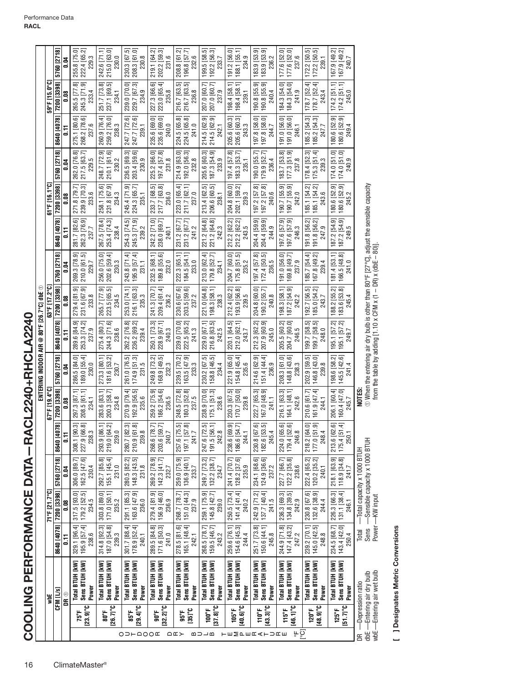|                                                |                                                                               |                                       |                                       |                                                              |                                                                      |                                                                         |                                                                                                | ENTERING INDOOR AIR @ 80°F [26.7°C] dbe $\circledcirc$ |                                       |                                                                         |                                                                         |                                                     |                                           |                                       |                                                                           |
|------------------------------------------------|-------------------------------------------------------------------------------|---------------------------------------|---------------------------------------|--------------------------------------------------------------|----------------------------------------------------------------------|-------------------------------------------------------------------------|------------------------------------------------------------------------------------------------|--------------------------------------------------------|---------------------------------------|-------------------------------------------------------------------------|-------------------------------------------------------------------------|-----------------------------------------------------|-------------------------------------------|---------------------------------------|---------------------------------------------------------------------------|
|                                                | yqk                                                                           |                                       | 71°F [21.7°C]                         |                                                              |                                                                      | 67°F [19.4°C]                                                           |                                                                                                |                                                        | 63°F [17.2°C]                         |                                                                         |                                                                         | 61°F [16.1°C]                                       |                                           |                                       | 59°F [15.0°C]                                                             |
|                                                | CFM [L/s]                                                                     | 8640 [4078]                           | 7200 [3398]                           | 5760 [2718]                                                  | $\overline{5}$<br>8640 [407                                          | 7200 [3398]                                                             | 5760 [2718]                                                                                    | 8640 [4078]                                            | 7200 [3398]                           | 5760 [2718]                                                             | 8640 [4078]                                                             | 7200 [3398]                                         | 5760 [2718]                               | 8640 [4078]                           | 7200 [3398]                                                               |
|                                                | dr o                                                                          | Ξ                                     | 80.0                                  | 0.04                                                         | $\overline{5}$                                                       | 80.0                                                                    | 0.04                                                                                           | $\overline{5}$                                         | 0.08                                  | 0.04                                                                    | E                                                                       | $\frac{8}{10}$                                      | 0.04                                      |                                       | 0.08                                                                      |
| $23.9$ $^{\circ}$ C<br>75°F                    | Total BTUH [KW]<br>Sens BTUH [kW]<br>Power                                    | 195.9 [57.4]<br>329.1 [96.4]<br>238.6 | 317.5 [93.0]<br>179.2 [52.5]<br>234.5 | 162.5 [47.6]<br>306.0 [89.7]<br>230.4                        | $\overline{3}$<br>227.9 [66.<br>308.1 [90<br>238.3                   | 297.3 [87.1]<br>208.5 [61.1]<br>234.1                                   | 286.5 [84.0]<br>189.0 [55.4]<br>230.0                                                          | 289.6 [84.9]<br>253.3 [74.2]<br>237.9                  | 279.4 [81.9]<br>231.6 [67.9]<br>233.8 | 269.3 [78.9]<br>210.0 [61.5]<br>229.7                                   | ତ<br>262.3 [76.9]<br>281.7 [82.<br>237.7                                | 271.8 [79.7]<br>239.9 [70.3]<br>233.6               | 262.0 [76.8]<br>217.5 [63.7]<br>229.5     | 275.1 [80.6]<br>268.2 [78.6]<br>237.6 | ဆ္ပ<br>245.3 [71.9]<br>265.5 [77<br>233.4                                 |
| $[26.7]^{\circ}C$<br>80°F                      | Sens BTUH [kW]<br>Total BTUH [KW]<br>Power                                    | 187.0 [54.8]<br>314.8 [92.3]<br>239.3 | 171.0 [50.1]<br>303.8 [89.0]<br>235.2 | 292.7 [85.8]<br>155.1 [45.4]<br>231.0                        | $\begin{bmatrix} 293.9 & 86.1 \ 219.0 & 64.2 \end{bmatrix}$<br>239.0 | 200.3 [58.7]<br>283.6 [83.1]<br>234.8                                   | 181.6 [53.2]<br>273.3 [80.1<br>230.7                                                           | 275.4 [80.7]<br>244.3 [71.6]<br>238.6                  | 265.7 [77.9]<br>223.5 [65.5]<br>234.5 | 256.0 [75.0]<br>202.6 [59.4]<br>230.3                                   | 267.5 [78.4]<br>253.4 [74.3]                                            | 258.1 [75.6]<br>231.8 [67.9]<br>234.3               | 248.7 [72.9]<br>210.1 [61.6]<br>230.2     | 260.9 [76.4]<br>259.2 [76.0]<br>238.3 | 8Ò<br>$\overline{5}$<br>251.7 [73.<br>237.1 [69.                          |
| $29.4$ <sup>°</sup> C<br>85°F<br>O D H Q O O E | Sens BTUH [kW]<br>Total BTUH [kW]<br>Power                                    | 301.7 [88.4]<br>178.9 [52.4]<br>240.1 | 291.1 [85.3]<br>163.6 [47.9]<br>236.0 | 280.5 [82.2]<br>148.3 [43.5]<br>231.8                        | $\overline{\infty}$<br>ಸ<br>280.7   82.<br>210.9 [61<br>239.8        | 192.9 [56.5]<br>270.9 [79.4]<br>235.6                                   | 174.9 [51.3]<br>261.0 [76.5]<br>231.5                                                          | 262.2 [76.8]<br>236.2 [69.2]<br>239.4                  | 216.1 [63.3]<br>253.0 [74.1]<br>235.3 | 243.8 [71.4]<br>195.9 [57.4]<br>231.1                                   | 254.3 [74.5]<br>245.3 [71.9]<br>239.2                                   | 245.4 [71.9]<br>224.3 [65.7]<br>235.1               | 236.5 [69.3]<br>203.4 [59.6]<br>230.9     | 247.7 [72.6]<br>247.7 [72.6]<br>239.1 | 239.0 [70.0]<br>229.7 [67.3]<br>234.9                                     |
| $[32.2]^\circ \text{C}$<br>$\frac{1}{2}$ 00°   | Sens BTUH [kW]<br>Total BTUH [kW]<br>Power                                    | 171.6 [50.3]<br>289.5 [84.8]<br>241.0 | 279.4 [81.9]<br>156.9 [46.0]<br>236.9 | 269.2 [78.9]<br>$142.3$ [41.7]<br>232.7                      | ヒヒ<br>268.6 [78.<br>203.6 [59.<br>240.7                              | 186.2 [54.6]<br>259.2 [75.9]<br>236.5                                   | 249.8 [73.2]<br>168.9 [49.5]<br>232.3                                                          | 250.1 [73.3]<br>228.9 [67.1]<br>240.3                  | 241.3 [70.7]<br>209.4 [61.4]<br>236.2 | 232.5 [68.1]<br>189.8 [55.6]<br>232.0                                   | 242.2 [71.0]<br>238.0 [69.7]<br>240.1                                   | <u>ró.</u><br>217.7 [63.8]<br>233.7 [68.<br>236.0   | 225.2 [66.0]<br>197.4 [57.8]<br>231.8     | 235.6 [69.0]<br>235.6 [69.0]<br>240.0 | 227.3 [66.6]<br>223.0 [65.4]<br>235.8                                     |
| $[35]$ °C<br>95°F<br>$\cap$ $\square$          | Total BTUH [kW]<br>Sens BTUH [kW]<br>Power                                    | 278.5 [81.6]<br>165.1 [48.4]<br>242.1 | 268.7 [78.7]<br>151.0 [44.3]<br>237.9 | 259.0 [75.9]<br>136.9 [40.1]<br>233.7                        | <u>ភ ឆ</u><br>257.6 [75.<br>197.1 [57<br>241.7                       | 248.5 [72.8]<br>180.3 [52.8]<br>237.5                                   | 163.5 [47.9]<br>239.5 [70.2]<br>233.3                                                          | 222.5 [65.2]<br>239.0 [70.0]<br>241.3                  | 203.5 [59.6]<br>230.6 [67.6]<br>237.2 | 222.3 [65.1]<br>184.5 [54.1]<br>233.0                                   | 231.2 [67.7]<br>231.2 [67.7]<br>241.2                                   | 223.0 [65.4]<br>211.7 [62.1]<br>237.0               | $192.0$ [56.3]<br>$232.8$<br>214.9 [63.0] | 224.5 [65.8]<br>224.5 [65.8]<br>241.0 | 216.7 [63.5]<br>216.7 [63.5]<br>236.8                                     |
| $[37.8]$ °C<br>100°F<br>മാ⊐മ                   | Sens BTUH [kW]<br>Total BTUH [KW]<br>Power                                    | 159.5 [46.7]<br>268.5 [78.7]<br>243.2 | 259.1 [75.9]<br>145.8 [42.7]<br>239.0 | 249.7 [73.2]<br>132.2 [38.7]<br>234.7                        | 247.6 [72.5]<br>191.5 [56.1]<br>242.8                                | 238.9 [70.0]<br>175.1 [51.3]<br>238.6                                   | 230.2 [67.5]<br>158.8 [46.5]<br>234.4                                                          | 229.0 [67.1]<br>216.8 [63.5]<br>242.5                  | 221.0 [64.8]<br>198.3 [58.1]<br>238.3 | 213.0 [62.4]<br>179.8 [52.7]<br>234.1                                   | 221.2 [64.8]<br>221.2 [64.8]<br>242.3                                   | 213.4 [62.5]<br>206.6 [60.5]<br>238.1               | 205.6 [60.3]<br>187.3 [54.9]<br>233.9     | 214.5 [62.9]<br>214.5 [62.9]<br>242.1 | 207.0 [60.7]<br>207.0 [60.7]<br>237.9                                     |
| [40.6]<br>105°F<br><b>⊢</b> ш∑аш⊄<⊢⊃⊄ш         | Sens BTUH [kW]<br>Total BTUH [kW]<br>Power                                    | 259.6 [76.1]<br>154.6 [45.3]<br>244.4 | 250.5 [73.4]<br>141.4 [41.4]<br>240.2 | 128.2 [37.6]<br>241.4 [70.7]<br>235.9                        | <u>ei vi</u><br>238.6 [69.<br>186.6 [54<br>244.1                     | $170.7$ [50.0]<br>239.8<br>230.3 [67.5]                                 | 221.9 [65.0]<br>154.8 [45.4]<br>235.6                                                          | 220.1 [64.5]<br>212.0 [62.1]<br>243.7                  | 193.9 [56.8]<br>212.4 [62.2]<br>239.5 | 204.7 [60.0]<br>$175.8$ [51.5]<br>235.2                                 | 212.2 [62.2]<br>212.2 [62.2]<br>243.5                                   | 204.8 [60.0]<br>$202.1$ [59.2]<br>$239.3$           | 197.4 [57.8]<br>183.3 [53.7]<br>235.1     | 205.6 [60.3]<br>205.6 [60.3]<br>243.3 | 198.4 [58.1]<br>198.4 [58.1]<br>239.1                                     |
| $[43.3]$ °C<br>110°F                           | Sens BTUH [kW]<br>Total BTUH [kW]<br>Power                                    | 251.7 [73.8]<br>150.6 [44.1]<br>245.8 | 242.9 [71.2]<br>137.7 [40.4]<br>241.5 | 124.9 [36.6]<br>234.1 [68.6]<br>237.2                        | <b>i</b> ioj<br>182.6 [53.<br>230.8 [67<br>245.4                     | 167.0 [48.9]<br>222.7 [65.3]<br>241.1                                   | 214.6 [62.9]<br>151.4 [44.4]<br>236.9                                                          | 207.9 [60.9]<br>212.3 [62.2]<br>245.0                  | 204.8 [60.0]<br>190.2 [55.7]<br>240.8 | $\begin{bmatrix} 172.4 & 50.5 \\ 236.5 & \end{bmatrix}$<br>197.4 [57.8] | 204.4 [59.9]<br>204.4 [59.9]<br>244.9                                   | 197.2 [57.8]<br>197.2 [57.8]<br>240.6               | 179.9 [52.7]<br>190.0 [55.7]<br>236.4     | 197.8 [58.0]<br>197.8 [58.0]<br>244.7 | 190.8 [55.9]<br>90.8 [55.9]<br>240.4                                      |
| $[46.1]$ °C<br>115°F<br>့္                     | Sens BTUH [kW]<br>Total BTUH [kW]<br>Power                                    | 147.4 [43.2]<br>244.9 [71.8]<br>247.2 | 236.3 [69.3]<br>134.8 [39.5]<br>242.9 | $122.2$ [35.8]<br>227.7 [66.7]<br>238.6                      | <u>ଟେ</u><br>224.0 [65.<br>179.4 [52.<br>246.8                       | 164.1 [48.1]<br>216.1 [63.3]<br>242.6                                   | 148.8 [43.6]<br>208.3 [61.0]<br>238.3                                                          | 205.5 [60.2]<br>204.7 [60.0]<br>246.5                  | 187.2 [54.9]<br>198.3 [58.1]<br>242.2 | 191.0 [56.0]<br>169.8 [49.7]<br>237.9                                   | 197.6 [57.9]<br>197.6 [57.9]<br>246.3                                   | 190.7 [55.9]<br>190.7 [55.9]<br>190.7 [55.<br>242.0 | 183.7 [53.8]<br>177.3 [51.9]<br>237.8     | 191.0 [56.0]<br>191.0 [56.0]<br>246.1 | 184.3 [54.0]<br>184.3 [54.0]<br>241.9                                     |
| $48.9$ <sup>°</sup> C<br>$120^{\circ}$ F       | Sens BTUH [kW]<br>Total BTUH [kW]<br>Power                                    | 145.0 [42.5]<br>239.2 [70.1]<br>248.8 | 132.6 [38.9]<br>230.8 [67.6]<br>244.4 | 222.4 [65.2]<br>120.2 [35.2]<br>240.1                        | តូតូ<br>218.2 [64<br>177.0 [51<br>248.4                              | 161.9 [47.4]<br>210.6 [61.7]<br>244.1                                   | 146.8 [43.0]<br>202.9 [59.5]<br>239.8                                                          | 199.7 [58.5]<br>199.7 [58.5]<br>248.0                  | 185.0 [54.2]<br>243.7<br>192.7 [56.5] | 185.7 [54.4]<br>167.8 [49.2]<br>239.4                                   | $\begin{bmatrix} 191.8 & 56.2 \\ 247.9 & \end{bmatrix}$<br>191.8 [56.2] | 185.1 [54.2]<br>ਕ<br>185.1 [54.2]<br>243.6          | $175.3$ [51.4]<br>178.4 [52.3]<br>239.3   | 185.2 [54.3]                          | ₹<br>E,<br> 78.7   52<br>178.7 [52.<br>243.4<br>$185.2$ [54.3]<br>$247.7$ |
| $51.71^{\circ}C$<br>$125^{\circ}$ F            | Sens BTUH [kW]<br>Total BTUH [kW]<br>Power                                    | 143.4 [42.0]<br>234.5 [68.7]<br>250.4 | 226.3 [66.3]<br>131.1 [38.4]<br>246.1 | 218.1 [63.9]<br>118.9 [34.8]<br>241.7                        | G.<br>$\pm$<br>213.6 [62.<br>175.4 [51<br>250.1                      | 160.4 [47.0]<br>206.1 [60.4]<br>245.7                                   | 145.5 [42.6]<br>198.6 [58.2]<br>241.4                                                          | 195.1 [57.2]<br>195.1 [57.2]<br>249.7                  | 183.6 [53.8]<br>188.2 [55.2]<br>245.4 | 181.4 [53.1]<br>166.5 [48.8]<br>241.0                                   | 187.2 [54.9]<br>187.2 [54.9]<br>249.5                                   | 180.6 [52.9]<br>த<br>180.6 [52.9]                   | 174.0 [51.0]<br>174.0 [51.0]<br>240.9     | 180.6 [52.9]<br>249.4                 | $174.2$ [51.1]<br>$174.2$ [51.1]<br>245.0<br>180.6 [52.9]                 |
| g                                              | wbE-Entering air wet bulb<br>dbE - Entering air dry bulb<br>-Depression ratio | Sens<br>Total                         | Power -KW input                       | -Sensible capacity x 1000 BTUH<br>Total capacity x 1000 BTUH |                                                                      | from the table by adding [1.10 x CFM x (1 - DR) x (dbE - 80)]<br>NOTES: | $\odot$ When the entering air dry bulb is other than 80°F [27°C], adjust the sensible capacity |                                                        |                                       |                                                                         |                                                                         |                                                     |                                           |                                       |                                                                           |

[ ] Designates Metric Conversions **[ ] Designates Metric Conversions**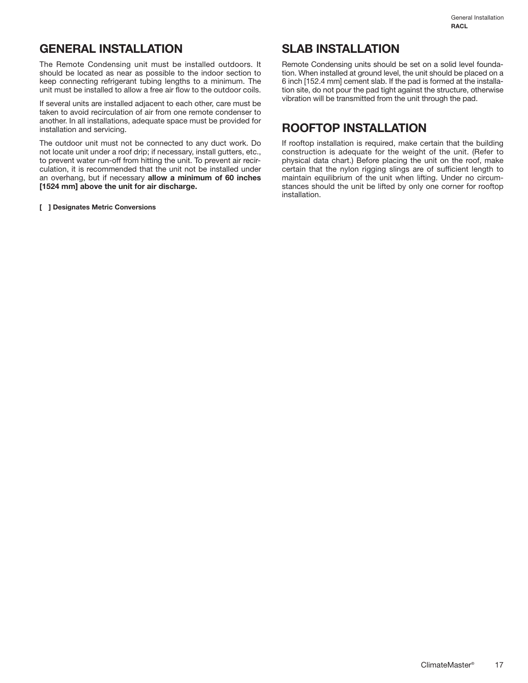### **GENERAL INSTALLATION**

The Remote Condensing unit must be installed outdoors. It should be located as near as possible to the indoor section to keep connecting refrigerant tubing lengths to a minimum. The unit must be installed to allow a free air flow to the outdoor coils.

If several units are installed adjacent to each other, care must be taken to avoid recirculation of air from one remote condenser to another. In all installations, adequate space must be provided for installation and servicing.

The outdoor unit must not be connected to any duct work. Do not locate unit under a roof drip; if necessary, install gutters, etc., to prevent water run-off from hitting the unit. To prevent air recirculation, it is recommended that the unit not be installed under an overhang, but if necessary **allow a minimum of 60 inches [1524 mm] above the unit for air discharge.**

**[ ] Designates Metric Conversions**

### **SLAB INSTALLATION**

Remote Condensing units should be set on a solid level foundation. When installed at ground level, the unit should be placed on a 6 inch [152.4 mm] cement slab. If the pad is formed at the installation site, do not pour the pad tight against the structure, otherwise vibration will be transmitted from the unit through the pad.

### **ROOFTOP INSTALLATION**

If rooftop installation is required, make certain that the building construction is adequate for the weight of the unit. (Refer to physical data chart.) Before placing the unit on the roof, make certain that the nylon rigging slings are of sufficient length to maintain equilibrium of the unit when lifting. Under no circumstances should the unit be lifted by only one corner for rooftop installation.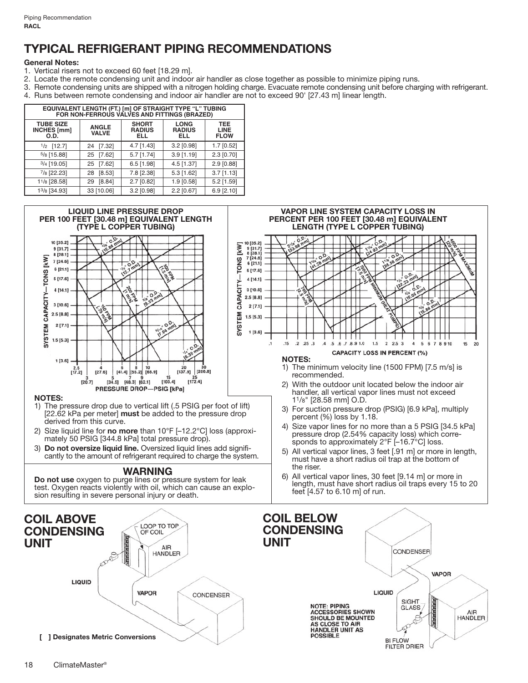# **TYPICAL REFRIGERANT PIPING RECOMMENDATIONS**

### **General Notes:**

- 1. Vertical risers not to exceed 60 feet [18.29 m].
- 2. Locate the remote condensing unit and indoor air handler as close together as possible to minimize piping runs.
- 3. Remote condensing units are shipped with a nitrogen holding charge. Evacuate remote condensing unit before charging with refrigerant.
- 4. Runs between remote condensing and indoor air handler are not to exceed 90' [27.43 m] linear length.

| EQUIVALENT LENGTH (FT.) [m] OF STRAIGHT TYPE "L" TUBING<br>FOR NON-FERROUS VALVES AND FITTINGS (BRAZED) |                              |                                      |                                     |                                          |  |
|---------------------------------------------------------------------------------------------------------|------------------------------|--------------------------------------|-------------------------------------|------------------------------------------|--|
| <b>TUBE SIZE</b><br>INCHES [mm]<br>O.D.                                                                 | <b>ANGLE</b><br><b>VALVE</b> | <b>SHORT</b><br><b>RADIUS</b><br>ELL | <b>LONG</b><br><b>RADIUS</b><br>ELL | <b>TEE</b><br><b>LINE</b><br><b>FLOW</b> |  |
| $1/2$ [12.7]                                                                                            | [7.32]<br>24                 | 4.7 [1.43]                           | 3.2 [0.98]                          | $1.7$ [0.52]                             |  |
| $5/8$ [15.88]                                                                                           | [7.62]<br>25                 | $5.7$ [1.74]                         | $3.9$ [1.19]                        | $2.3$ [0.70]                             |  |
| $3/4$ [19.05]                                                                                           | [7.62]<br>25                 | $6.5$ [1.98]                         | 4.5 [1.37]                          | $2.9$ [0.88]                             |  |
| 7/8 [22.23]                                                                                             | [8.53]<br>28                 | 7.8 [2.38]                           | $5.3$ [1.62]                        | $3.7$ [1.13]                             |  |
| 11/8 [28.58]                                                                                            | [8.84]<br>29                 | $2.7$ [0.82]                         | 1.9 [0.58]                          | $5.2$ [1.59]                             |  |
| 13/8 [34.93]                                                                                            | 33 [10.06]                   | 3.2 [0.98]                           | 2.2 [0.67]                          | $6.9$ [2.10]                             |  |



**FILTER DRIER**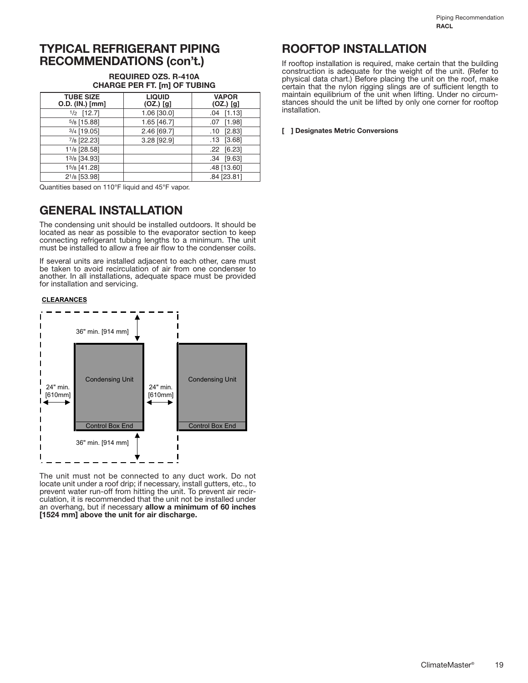### **TYPICAL REFRIGERANT PIPING RECOMMENDATIONS (con't.)**

#### **REQUIRED OZS. R-410A CHARGE PER FT. [m] OF TUBING**

| <b>TUBE SIZE</b><br>O.D. (IN.) [mm] | <b>LIQUID</b><br>$(OZ.)$ [g] | <b>VAPOR</b><br>$(OZ.)$ [g] |
|-------------------------------------|------------------------------|-----------------------------|
| $1/2$ [12.7]                        | 1.06 [30.0]                  | $.04$ [1.13]                |
| $5/8$ [15.88]                       | 1.65 [46.7]                  | [1.98]<br>.07               |
| $3/4$ [19.05]                       | 2.46 [69.7]                  | [2.83]<br>.10               |
| 7/8 [22.23]                         | 3.28 [92.9]                  | [3.68]<br>.13               |
| 11/8 [28.58]                        |                              | $.22$ [6.23]                |
| 13/8 [34.93]                        |                              | .34 [9.63]                  |
| 15/8 [41.28]                        |                              | .48 [13.60]                 |
| 21/8 [53.98]                        |                              | .84 [23.81]                 |

Quantities based on 110°F liquid and 45°F vapor.

### **GENERAL INSTALLATION**

The condensing unit should be installed outdoors. It should be located as near as possible to the evaporator section to keep connecting refrigerant tubing lengths to a minimum. The unit must be installed to allow a free air flow to the condenser coils.

If several units are installed adjacent to each other, care must be taken to avoid recirculation of air from one condenser to another. In all installations, adequate space must be provided for installation and servicing.

#### **CLEARANCES**



The unit must not be connected to any duct work. Do not locate unit under a roof drip; if necessary, install gutters, etc., to prevent water run-off from hitting the unit. To prevent air recirculation, it is recommended that the unit not be installed under an overhang, but if necessary **allow a minimum of 60 inches [1524 mm] above the unit for air discharge.**

### **ROOFTOP INSTALLATION**

If rooftop installation is required, make certain that the building construction is adequate for the weight of the unit. (Refer to physical data chart.) Before placing the unit on the roof, make certain that the nylon rigging slings are of sufficient length to maintain equilibrium of the unit when lifting. Under no circumstances should the unit be lifted by only one corner for rooftop installation.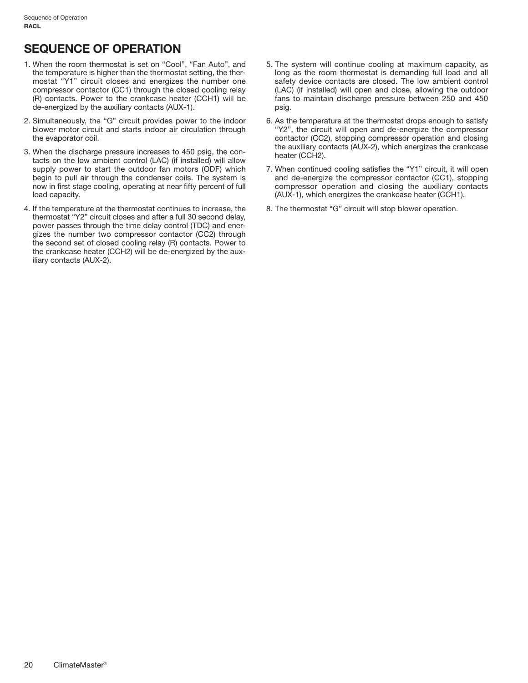# **SEQUENCE OF OPERATION**

- 1. When the room thermostat is set on "Cool", "Fan Auto", and the temperature is higher than the thermostat setting, the thermostat "Y1" circuit closes and energizes the number one compressor contactor (CC1) through the closed cooling relay (R) contacts. Power to the crankcase heater (CCH1) will be de-energized by the auxiliary contacts (AUX-1).
- 2. Simultaneously, the "G" circuit provides power to the indoor blower motor circuit and starts indoor air circulation through the evaporator coil.
- 3. When the discharge pressure increases to 450 psig, the contacts on the low ambient control (LAC) (if installed) will allow supply power to start the outdoor fan motors (ODF) which begin to pull air through the condenser coils. The system is now in first stage cooling, operating at near fifty percent of full load capacity.
- 4. If the temperature at the thermostat continues to increase, the thermostat "Y2" circuit closes and after a full 30 second delay, power passes through the time delay control (TDC) and energizes the number two compressor contactor (CC2) through the second set of closed cooling relay (R) contacts. Power to the crankcase heater (CCH2) will be de-energized by the auxiliary contacts (AUX-2).
- 5. The system will continue cooling at maximum capacity, as long as the room thermostat is demanding full load and all safety device contacts are closed. The low ambient control (LAC) (if installed) will open and close, allowing the outdoor fans to maintain discharge pressure between 250 and 450 psig.
- 6. As the temperature at the thermostat drops enough to satisfy "Y2", the circuit will open and de-energize the compressor contactor (CC2), stopping compressor operation and closing the auxiliary contacts (AUX-2), which energizes the crankcase heater (CCH2).
- 7. When continued cooling satisfies the "Y1" circuit, it will open and de-energize the compressor contactor (CC1), stopping compressor operation and closing the auxiliary contacts (AUX-1), which energizes the crankcase heater (CCH1).
- 8. The thermostat "G" circuit will stop blower operation.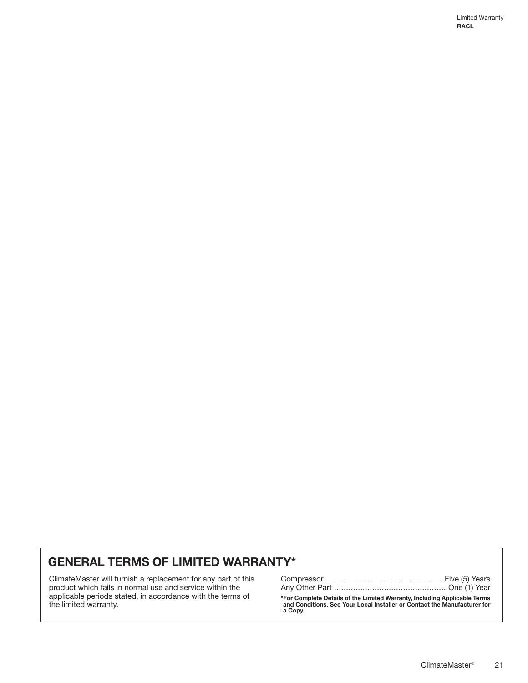### **GENERAL TERMS OF LIMITED WARRANTY\***

ClimateMaster will furnish a replacement for any part of this product which fails in normal use and service within the applicable periods stated, in accordance with the terms of the limited warranty.

**\*For Complete Details of the Limited Warranty, Including Applicable Terms and Conditions, See Your Local Installer or Contact the Manufacturer for a Copy.**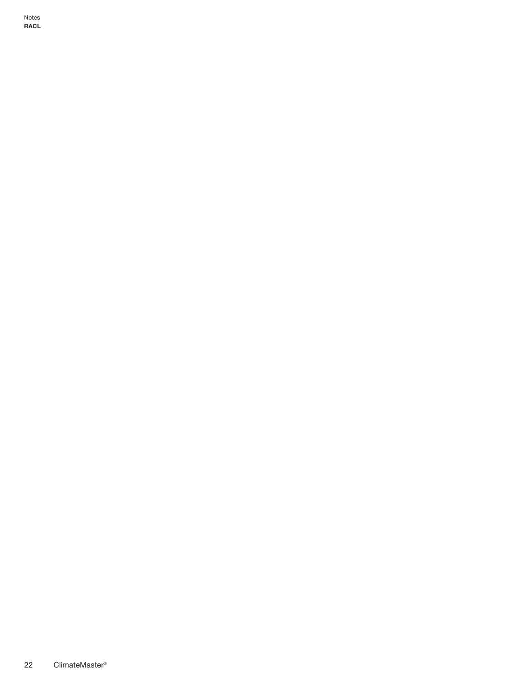Notes **RACL**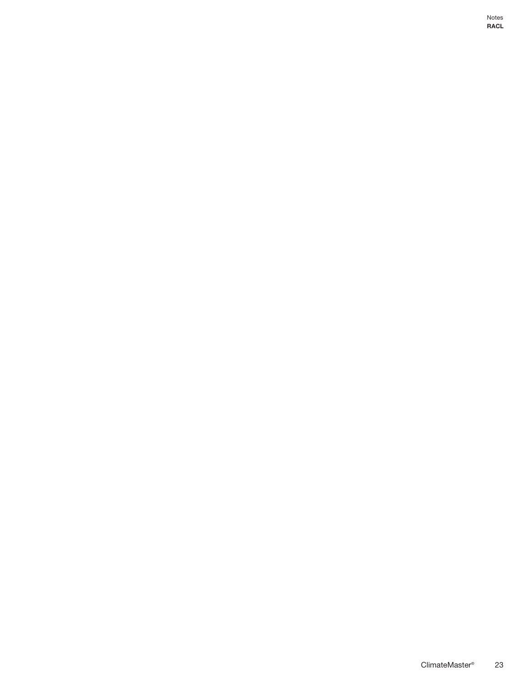Notes **RACL**